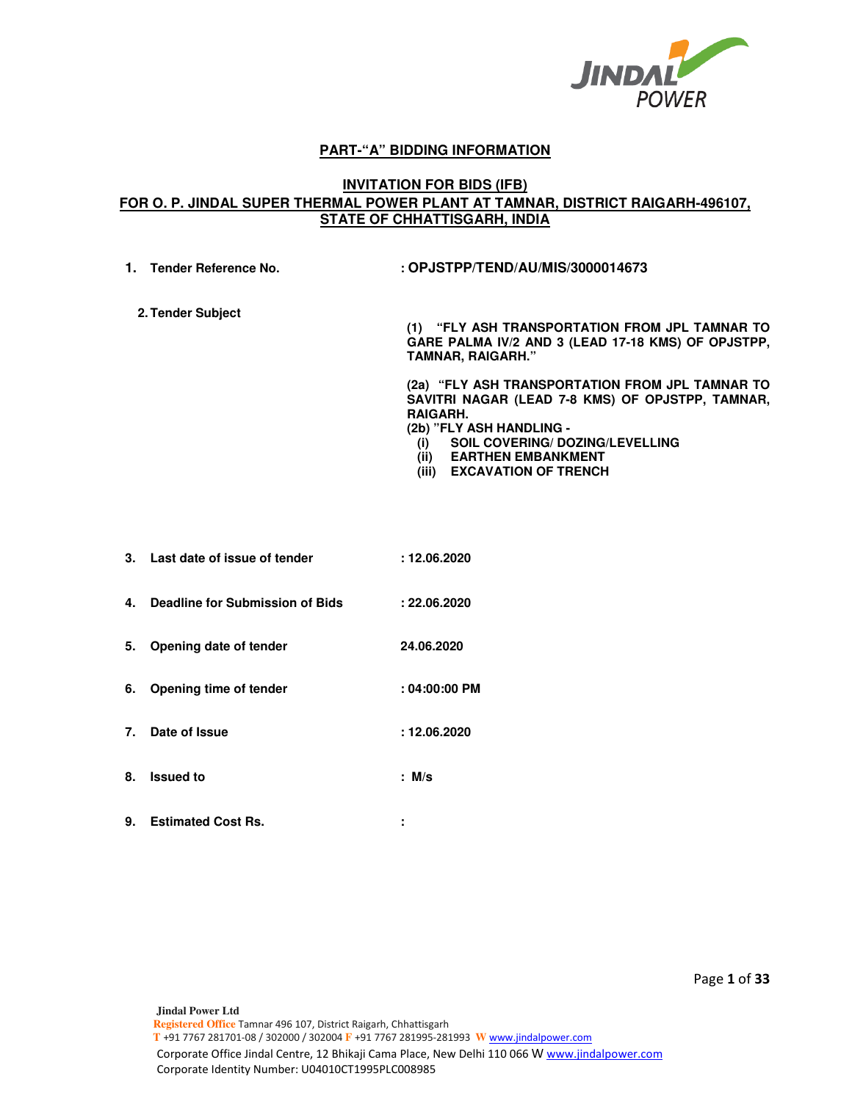

## **PART-"A" BIDDING INFORMATION**

## **INVITATION FOR BIDS (IFB) FOR O. P. JINDAL SUPER THERMAL POWER PLANT AT TAMNAR, DISTRICT RAIGARH-496107, STATE OF CHHATTISGARH, INDIA**

**1. Tender Reference No. : OPJSTPP/TEND/AU/MIS/3000014673 2. Tender Subject (1) "FLY ASH TRANSPORTATION FROM JPL TAMNAR TO GARE PALMA IV/2 AND 3 (LEAD 17-18 KMS) OF OPJSTPP, TAMNAR, RAIGARH."** 

> **(2a) "FLY ASH TRANSPORTATION FROM JPL TAMNAR TO SAVITRI NAGAR (LEAD 7-8 KMS) OF OPJSTPP, TAMNAR, RAIGARH.**

**(2b) "FLY ASH HANDLING -** 

- **(i) SOIL COVERING/ DOZING/LEVELLING**
- **(ii) EARTHEN EMBANKMENT**
- **(iii) EXCAVATION OF TRENCH**
- **3. Last date of issue of tender : 12.06.2020 4. Deadline for Submission of Bids : 22.06.2020 5. Opening date of tender 24.06.2020 6. Opening time of tender : 04:00:00 PM 7. Date of Issue : 12.06.2020 8. Issued to : M/s**
- **9. Estimated Cost Rs. :**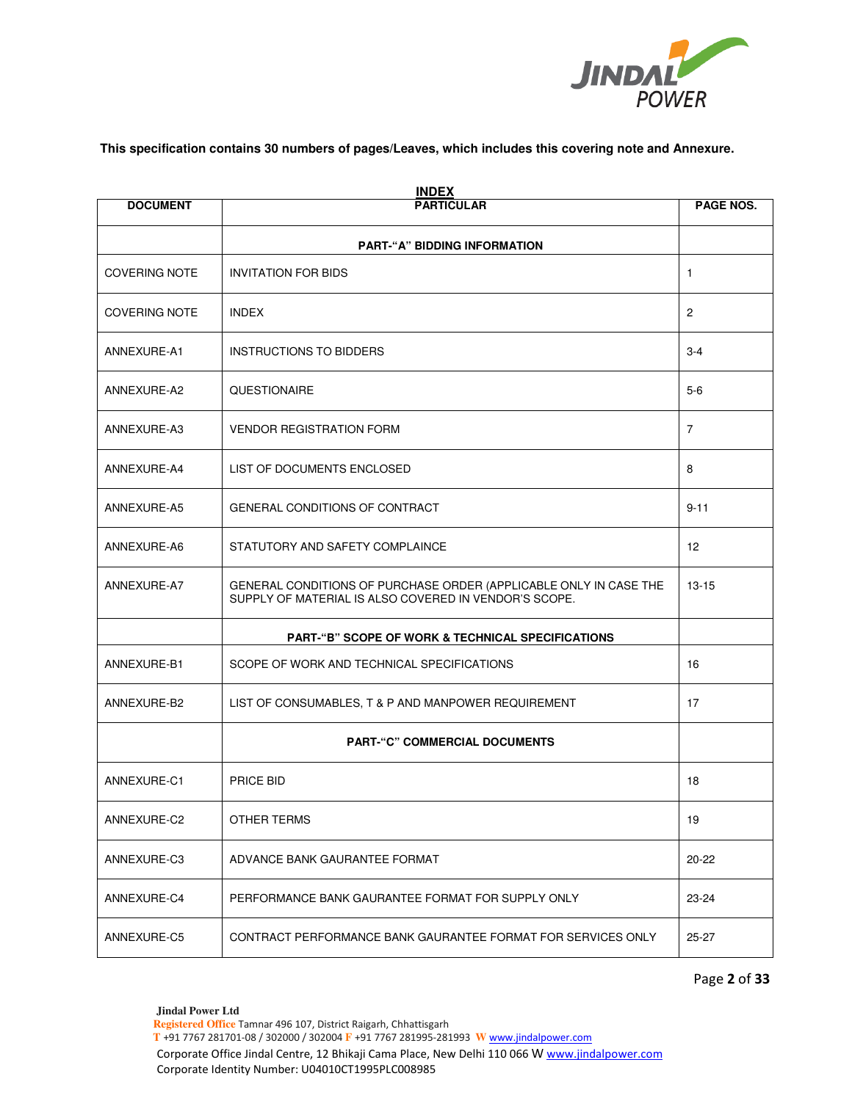

### **This specification contains 30 numbers of pages/Leaves, which includes this covering note and Annexure.**

| <b>INDEX</b><br><b>DOCUMENT</b><br><b>PARTICULAR</b> |                                                                                                                            |                |  |  |  |
|------------------------------------------------------|----------------------------------------------------------------------------------------------------------------------------|----------------|--|--|--|
|                                                      | <b>PART-"A" BIDDING INFORMATION</b>                                                                                        |                |  |  |  |
| <b>COVERING NOTE</b>                                 | <b>INVITATION FOR BIDS</b>                                                                                                 | 1              |  |  |  |
| <b>COVERING NOTE</b>                                 | <b>INDEX</b>                                                                                                               | $\overline{2}$ |  |  |  |
| ANNEXURE-A1                                          | <b>INSTRUCTIONS TO BIDDERS</b>                                                                                             | $3 - 4$        |  |  |  |
| ANNEXURE-A2                                          | <b>QUESTIONAIRE</b>                                                                                                        | $5-6$          |  |  |  |
| ANNEXURE-A3                                          | <b>VENDOR REGISTRATION FORM</b>                                                                                            | 7              |  |  |  |
| ANNEXURE-A4                                          | LIST OF DOCUMENTS ENCLOSED                                                                                                 | 8              |  |  |  |
| ANNEXURE-A5                                          | GENERAL CONDITIONS OF CONTRACT                                                                                             | $9 - 11$       |  |  |  |
| ANNEXURE-A6                                          | STATUTORY AND SAFETY COMPLAINCE                                                                                            | 12             |  |  |  |
| ANNEXURE-A7                                          | GENERAL CONDITIONS OF PURCHASE ORDER (APPLICABLE ONLY IN CASE THE<br>SUPPLY OF MATERIAL IS ALSO COVERED IN VENDOR'S SCOPE. | $13 - 15$      |  |  |  |
|                                                      | <b>PART-"B" SCOPE OF WORK &amp; TECHNICAL SPECIFICATIONS</b>                                                               |                |  |  |  |
| ANNEXURE-B1                                          | SCOPE OF WORK AND TECHNICAL SPECIFICATIONS                                                                                 | 16             |  |  |  |
| ANNEXURE-B2                                          | LIST OF CONSUMABLES, T & P AND MANPOWER REQUIREMENT                                                                        | 17             |  |  |  |
|                                                      | <b>PART-"C" COMMERCIAL DOCUMENTS</b>                                                                                       |                |  |  |  |
| ANNEXURE-C1                                          | PRICE BID                                                                                                                  | 18             |  |  |  |
| ANNEXURE-C2                                          | OTHER TERMS                                                                                                                | 19             |  |  |  |
| ANNEXURE-C3                                          | ADVANCE BANK GAURANTEE FORMAT                                                                                              | $20 - 22$      |  |  |  |
| ANNEXURE-C4                                          | PERFORMANCE BANK GAURANTEE FORMAT FOR SUPPLY ONLY                                                                          | 23-24          |  |  |  |
| ANNEXURE-C5                                          | CONTRACT PERFORMANCE BANK GAURANTEE FORMAT FOR SERVICES ONLY                                                               | $25 - 27$      |  |  |  |

Page **2** of **33**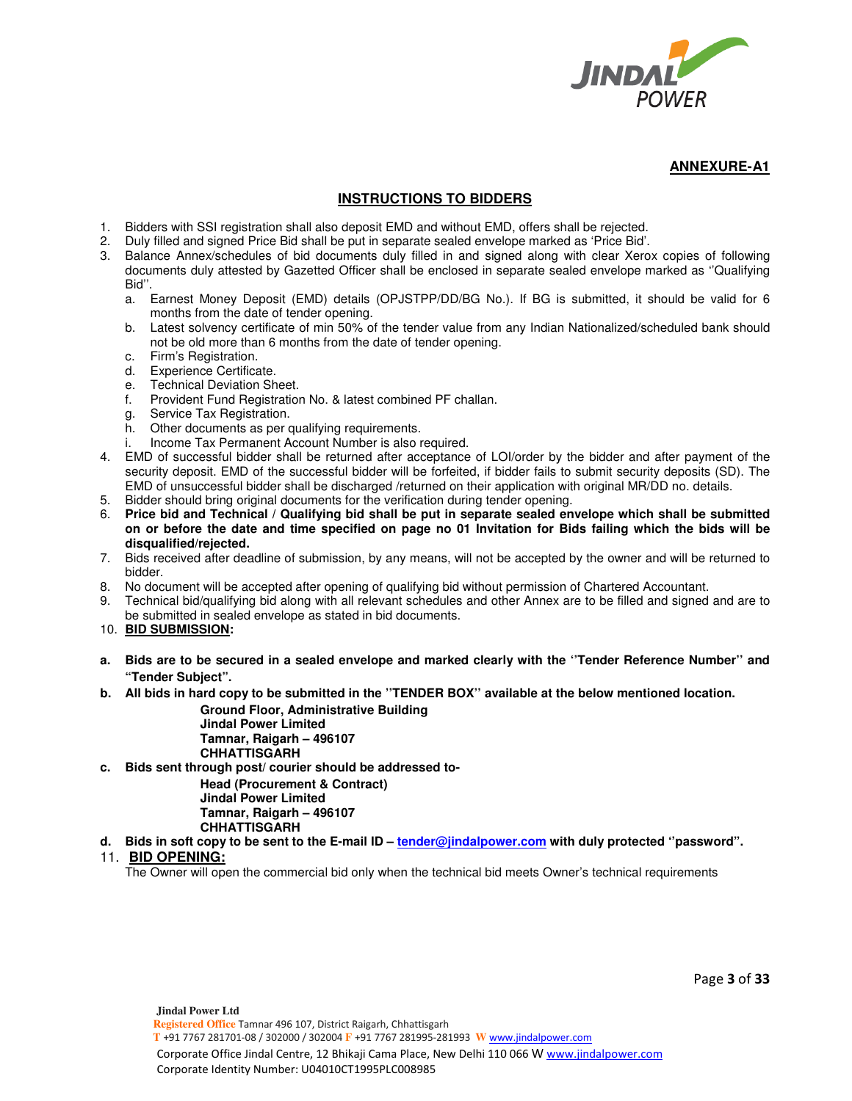

## **INSTRUCTIONS TO BIDDERS**

- 1. Bidders with SSI registration shall also deposit EMD and without EMD, offers shall be rejected.
- 2. Duly filled and signed Price Bid shall be put in separate sealed envelope marked as 'Price Bid'.
- 3. Balance Annex/schedules of bid documents duly filled in and signed along with clear Xerox copies of following documents duly attested by Gazetted Officer shall be enclosed in separate sealed envelope marked as ''Qualifying Bid''.
	- a. Earnest Money Deposit (EMD) details (OPJSTPP/DD/BG No.). If BG is submitted, it should be valid for 6 months from the date of tender opening.
	- b. Latest solvency certificate of min 50% of the tender value from any Indian Nationalized/scheduled bank should not be old more than 6 months from the date of tender opening.
	- c. Firm's Registration.
	- d. Experience Certificate.
	- e. Technical Deviation Sheet.
	- f. Provident Fund Registration No. & latest combined PF challan.
	- g. Service Tax Registration.
	- h. Other documents as per qualifying requirements.
	- i. Income Tax Permanent Account Number is also required.
- 4. EMD of successful bidder shall be returned after acceptance of LOI/order by the bidder and after payment of the security deposit. EMD of the successful bidder will be forfeited, if bidder fails to submit security deposits (SD). The EMD of unsuccessful bidder shall be discharged /returned on their application with original MR/DD no. details.
- 5. Bidder should bring original documents for the verification during tender opening.
- 6. **Price bid and Technical / Qualifying bid shall be put in separate sealed envelope which shall be submitted on or before the date and time specified on page no 01 Invitation for Bids failing which the bids will be disqualified/rejected.**
- 7. Bids received after deadline of submission, by any means, will not be accepted by the owner and will be returned to bidder.
- 8. No document will be accepted after opening of qualifying bid without permission of Chartered Accountant.
- 9. Technical bid/qualifying bid along with all relevant schedules and other Annex are to be filled and signed and are to be submitted in sealed envelope as stated in bid documents.
- 10. **BID SUBMISSION:**
- **a. Bids are to be secured in a sealed envelope and marked clearly with the ''Tender Reference Number'' and "Tender Subject".**
- **b. All bids in hard copy to be submitted in the ''TENDER BOX'' available at the below mentioned location.**

**Ground Floor, Administrative Building Jindal Power Limited Tamnar, Raigarh – 496107 CHHATTISGARH** 

**c. Bids sent through post/ courier should be addressed to-**

**Head (Procurement & Contract) Jindal Power Limited Tamnar, Raigarh – 496107 CHHATTISGARH** 

d. Bids in soft copy to be sent to the E-mail ID - tender@jindalpower.com with duly protected "password".

### 11. **BID OPENING:**

The Owner will open the commercial bid only when the technical bid meets Owner's technical requirements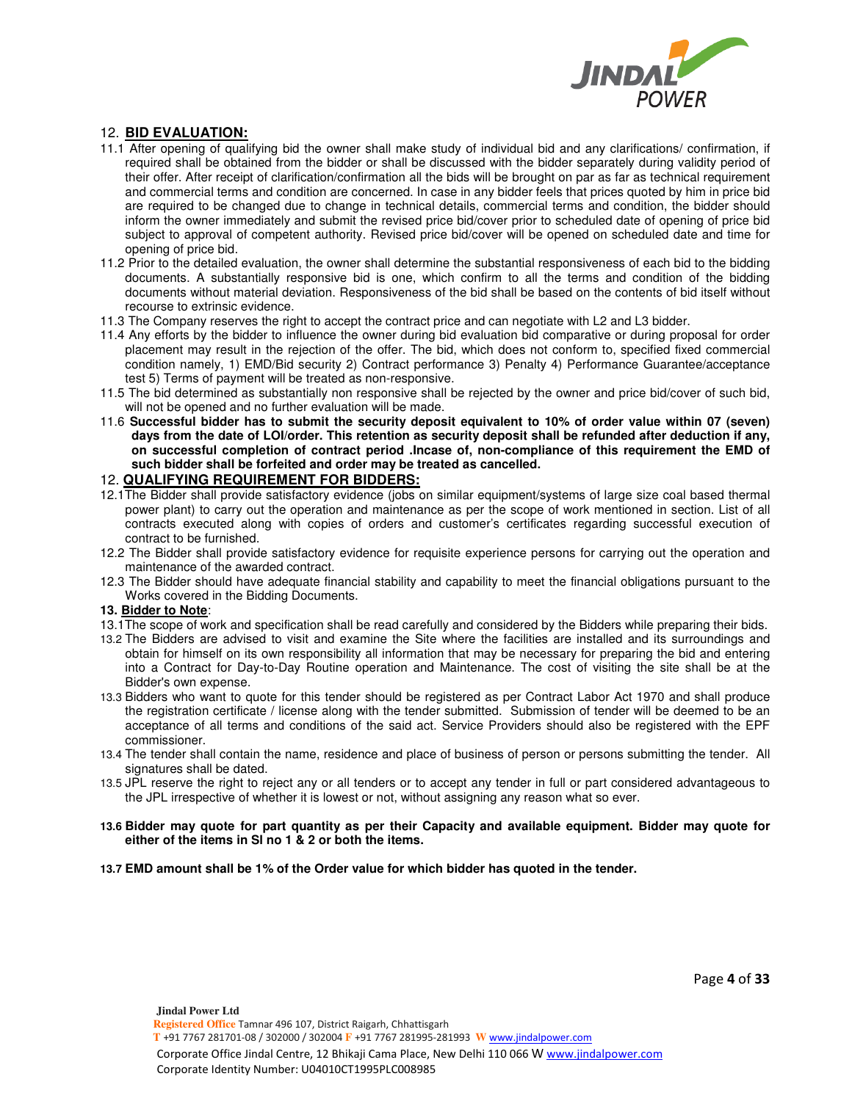

## 12. **BID EVALUATION:**

- 11.1 After opening of qualifying bid the owner shall make study of individual bid and any clarifications/ confirmation, if required shall be obtained from the bidder or shall be discussed with the bidder separately during validity period of their offer. After receipt of clarification/confirmation all the bids will be brought on par as far as technical requirement and commercial terms and condition are concerned. In case in any bidder feels that prices quoted by him in price bid are required to be changed due to change in technical details, commercial terms and condition, the bidder should inform the owner immediately and submit the revised price bid/cover prior to scheduled date of opening of price bid subject to approval of competent authority. Revised price bid/cover will be opened on scheduled date and time for opening of price bid.
- 11.2 Prior to the detailed evaluation, the owner shall determine the substantial responsiveness of each bid to the bidding documents. A substantially responsive bid is one, which confirm to all the terms and condition of the bidding documents without material deviation. Responsiveness of the bid shall be based on the contents of bid itself without recourse to extrinsic evidence.
- 11.3 The Company reserves the right to accept the contract price and can negotiate with L2 and L3 bidder.
- 11.4 Any efforts by the bidder to influence the owner during bid evaluation bid comparative or during proposal for order placement may result in the rejection of the offer. The bid, which does not conform to, specified fixed commercial condition namely, 1) EMD/Bid security 2) Contract performance 3) Penalty 4) Performance Guarantee/acceptance test 5) Terms of payment will be treated as non-responsive.
- 11.5 The bid determined as substantially non responsive shall be rejected by the owner and price bid/cover of such bid, will not be opened and no further evaluation will be made.
- 11.6 **Successful bidder has to submit the security deposit equivalent to 10% of order value within 07 (seven) days from the date of LOI/order. This retention as security deposit shall be refunded after deduction if any, on successful completion of contract period .Incase of, non-compliance of this requirement the EMD of such bidder shall be forfeited and order may be treated as cancelled.**

### 12. **QUALIFYING REQUIREMENT FOR BIDDERS:**

- 12.1The Bidder shall provide satisfactory evidence (jobs on similar equipment/systems of large size coal based thermal power plant) to carry out the operation and maintenance as per the scope of work mentioned in section. List of all contracts executed along with copies of orders and customer's certificates regarding successful execution of contract to be furnished.
- 12.2 The Bidder shall provide satisfactory evidence for requisite experience persons for carrying out the operation and maintenance of the awarded contract.
- 12.3 The Bidder should have adequate financial stability and capability to meet the financial obligations pursuant to the Works covered in the Bidding Documents.

### **13. Bidder to Note**:

- 13.1The scope of work and specification shall be read carefully and considered by the Bidders while preparing their bids.
- 13.2 The Bidders are advised to visit and examine the Site where the facilities are installed and its surroundings and obtain for himself on its own responsibility all information that may be necessary for preparing the bid and entering into a Contract for Day-to-Day Routine operation and Maintenance. The cost of visiting the site shall be at the Bidder's own expense.
- 13.3 Bidders who want to quote for this tender should be registered as per Contract Labor Act 1970 and shall produce the registration certificate / license along with the tender submitted. Submission of tender will be deemed to be an acceptance of all terms and conditions of the said act. Service Providers should also be registered with the EPF commissioner.
- 13.4 The tender shall contain the name, residence and place of business of person or persons submitting the tender. All signatures shall be dated.
- 13.5 JPL reserve the right to reject any or all tenders or to accept any tender in full or part considered advantageous to the JPL irrespective of whether it is lowest or not, without assigning any reason what so ever.
- **13.6 Bidder may quote for part quantity as per their Capacity and available equipment. Bidder may quote for either of the items in Sl no 1 & 2 or both the items.**
- **13.7 EMD amount shall be 1% of the Order value for which bidder has quoted in the tender.**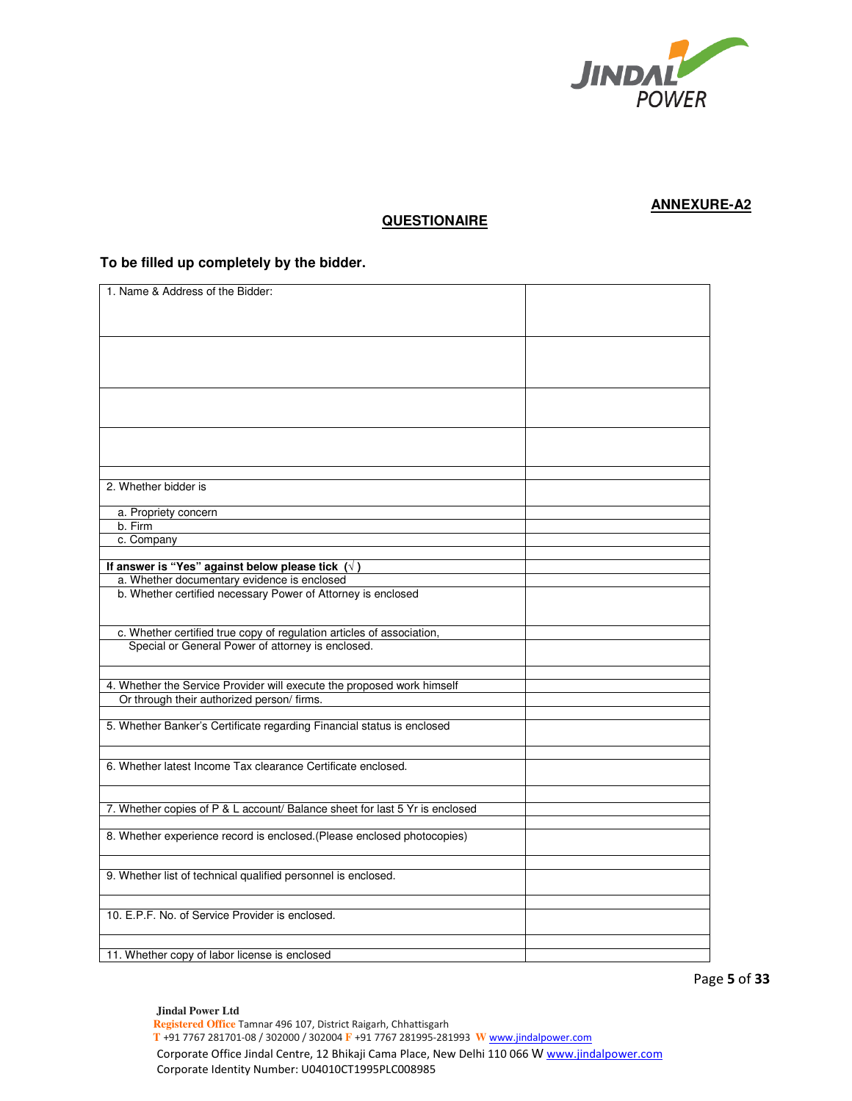

# **QUESTIONAIRE**

## **To be filled up completely by the bidder.**

| 1. Name & Address of the Bidder:                                            |  |
|-----------------------------------------------------------------------------|--|
|                                                                             |  |
|                                                                             |  |
|                                                                             |  |
|                                                                             |  |
|                                                                             |  |
|                                                                             |  |
|                                                                             |  |
|                                                                             |  |
|                                                                             |  |
|                                                                             |  |
|                                                                             |  |
|                                                                             |  |
|                                                                             |  |
|                                                                             |  |
|                                                                             |  |
|                                                                             |  |
|                                                                             |  |
|                                                                             |  |
| 2. Whether bidder is                                                        |  |
|                                                                             |  |
|                                                                             |  |
| a. Propriety concern                                                        |  |
| b. Firm                                                                     |  |
|                                                                             |  |
| c. Company                                                                  |  |
|                                                                             |  |
| If answer is "Yes" against below please tick $(\sqrt{})$                    |  |
| a. Whether documentary evidence is enclosed                                 |  |
|                                                                             |  |
| b. Whether certified necessary Power of Attorney is enclosed                |  |
|                                                                             |  |
|                                                                             |  |
|                                                                             |  |
| c. Whether certified true copy of regulation articles of association,       |  |
| Special or General Power of attorney is enclosed.                           |  |
|                                                                             |  |
|                                                                             |  |
|                                                                             |  |
| 4. Whether the Service Provider will execute the proposed work himself      |  |
| Or through their authorized person/ firms.                                  |  |
|                                                                             |  |
|                                                                             |  |
| 5. Whether Banker's Certificate regarding Financial status is enclosed      |  |
|                                                                             |  |
|                                                                             |  |
| 6. Whether latest Income Tax clearance Certificate enclosed.                |  |
|                                                                             |  |
|                                                                             |  |
|                                                                             |  |
|                                                                             |  |
| 7. Whether copies of P & L account/ Balance sheet for last 5 Yr is enclosed |  |
|                                                                             |  |
| 8. Whether experience record is enclosed.(Please enclosed photocopies)      |  |
|                                                                             |  |
|                                                                             |  |
|                                                                             |  |
| 9. Whether list of technical qualified personnel is enclosed.               |  |
|                                                                             |  |
|                                                                             |  |
|                                                                             |  |
| 10. E.P.F. No. of Service Provider is enclosed.                             |  |
|                                                                             |  |
|                                                                             |  |
|                                                                             |  |
| 11. Whether copy of labor license is enclosed                               |  |

Page **5** of **33**

 **Registered Office** Tamnar 496 107, District Raigarh, Chhattisgarh  **T** +91 7767 281701-08 / 302000 / 302004 **F** +91 7767 281995-281993 **W** www.jindalpower.com Corporate Office Jindal Centre, 12 Bhikaji Cama Place, New Delhi 110 066 W www.jindalpower.com Corporate Identity Number: U04010CT1995PLC008985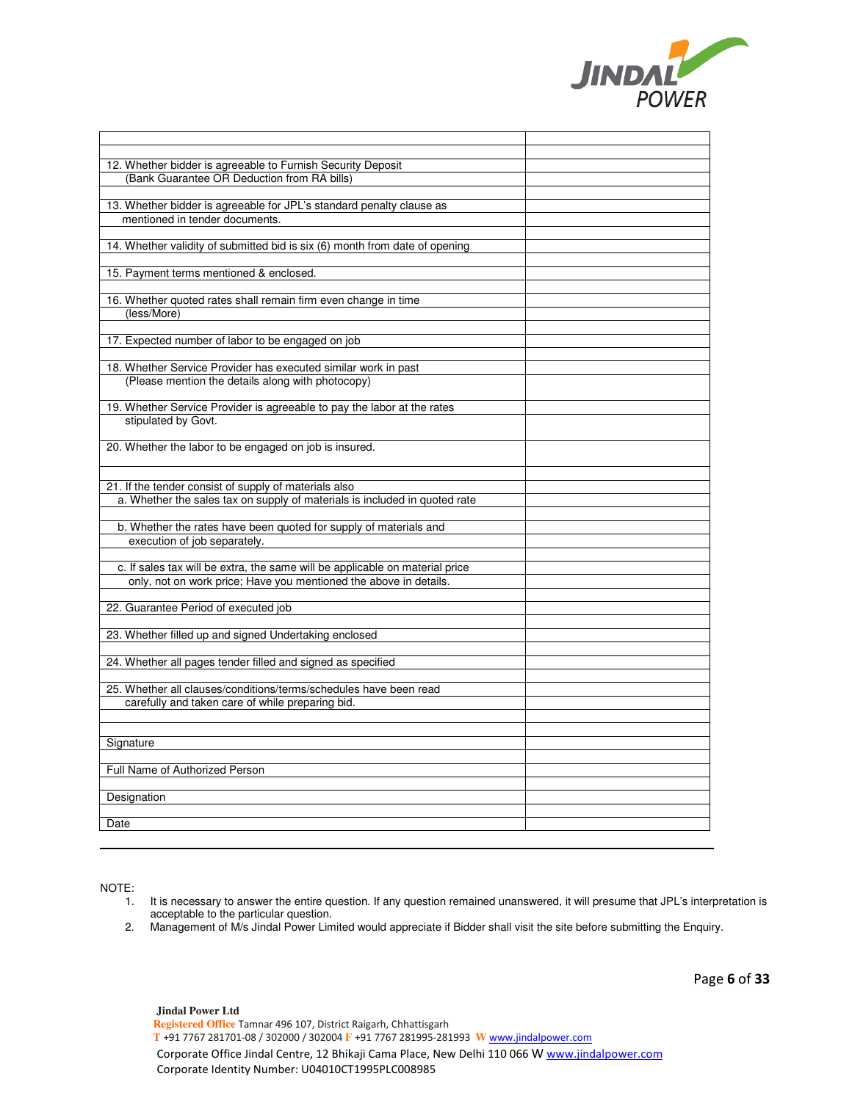

| 12. Whether bidder is agreeable to Furnish Security Deposit                  |  |
|------------------------------------------------------------------------------|--|
| (Bank Guarantee OR Deduction from RA bills)                                  |  |
|                                                                              |  |
| 13. Whether bidder is agreeable for JPL's standard penalty clause as         |  |
| mentioned in tender documents.                                               |  |
|                                                                              |  |
| 14. Whether validity of submitted bid is six (6) month from date of opening  |  |
|                                                                              |  |
| 15. Payment terms mentioned & enclosed.                                      |  |
|                                                                              |  |
| 16. Whether quoted rates shall remain firm even change in time               |  |
| (less/More)                                                                  |  |
|                                                                              |  |
| 17. Expected number of labor to be engaged on job                            |  |
|                                                                              |  |
| 18. Whether Service Provider has executed similar work in past               |  |
| (Please mention the details along with photocopy)                            |  |
|                                                                              |  |
| 19. Whether Service Provider is agreeable to pay the labor at the rates      |  |
| stipulated by Govt.                                                          |  |
|                                                                              |  |
| 20. Whether the labor to be engaged on job is insured.                       |  |
|                                                                              |  |
|                                                                              |  |
| 21. If the tender consist of supply of materials also                        |  |
| a. Whether the sales tax on supply of materials is included in quoted rate   |  |
|                                                                              |  |
| b. Whether the rates have been quoted for supply of materials and            |  |
| execution of job separately.                                                 |  |
|                                                                              |  |
| c. If sales tax will be extra, the same will be applicable on material price |  |
| only, not on work price; Have you mentioned the above in details.            |  |
|                                                                              |  |
| 22. Guarantee Period of executed job                                         |  |
|                                                                              |  |
| 23. Whether filled up and signed Undertaking enclosed                        |  |
|                                                                              |  |
| 24. Whether all pages tender filled and signed as specified                  |  |
|                                                                              |  |
| 25. Whether all clauses/conditions/terms/schedules have been read            |  |
| carefully and taken care of while preparing bid.                             |  |
|                                                                              |  |
|                                                                              |  |
| Signature                                                                    |  |
|                                                                              |  |
| Full Name of Authorized Person                                               |  |
|                                                                              |  |
| Designation                                                                  |  |
|                                                                              |  |
|                                                                              |  |
| Date                                                                         |  |

NOTE:

- 1. It is necessary to answer the entire question. If any question remained unanswered, it will presume that JPL's interpretation is acceptable to the particular question.
- 2. Management of M/s Jindal Power Limited would appreciate if Bidder shall visit the site before submitting the Enquiry.

Page **6** of **33**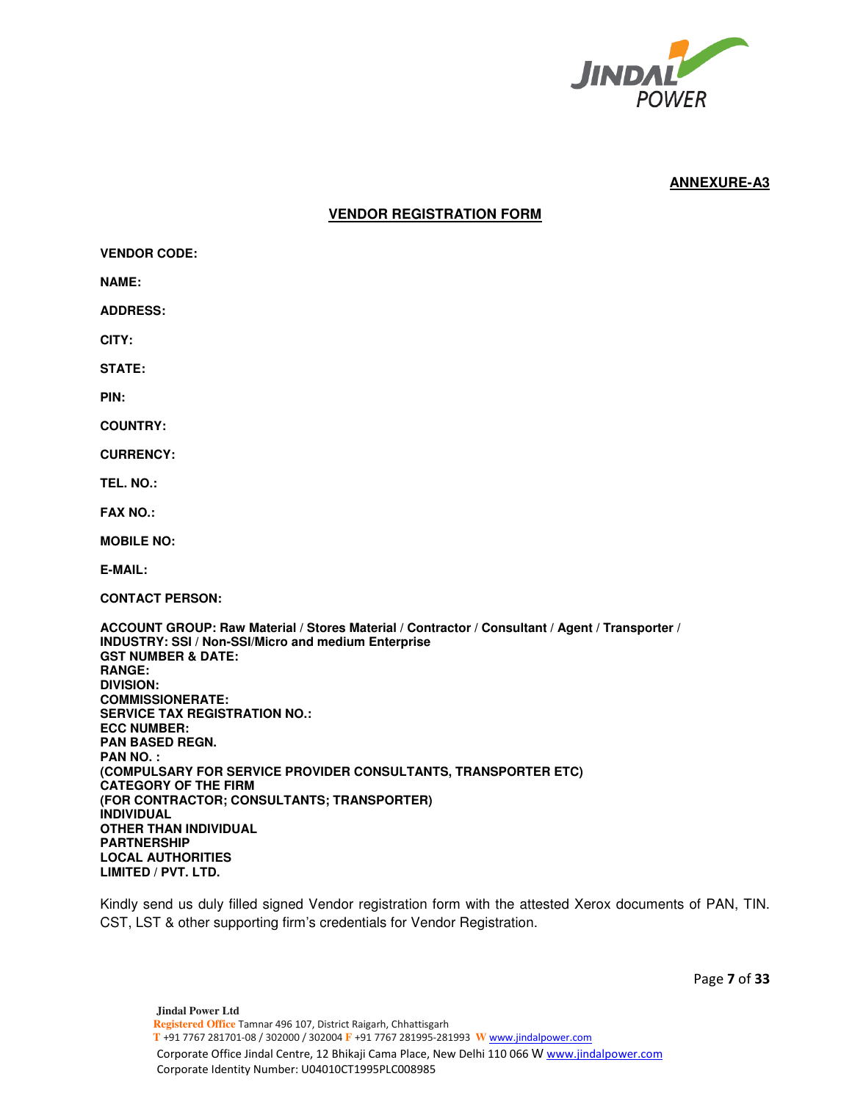

## **VENDOR REGISTRATION FORM**

**VENDOR CODE: NAME: ADDRESS: CITY: STATE: PIN: COUNTRY: CURRENCY: TEL. NO.: FAX NO.: MOBILE NO: E-MAIL: CONTACT PERSON: ACCOUNT GROUP: Raw Material / Stores Material / Contractor / Consultant / Agent / Transporter / INDUSTRY: SSI / Non-SSI/Micro and medium Enterprise GST NUMBER & DATE: RANGE: DIVISION: COMMISSIONERATE: SERVICE TAX REGISTRATION NO.: ECC NUMBER: PAN BASED REGN. PAN NO. : (COMPULSARY FOR SERVICE PROVIDER CONSULTANTS, TRANSPORTER ETC) CATEGORY OF THE FIRM (FOR CONTRACTOR; CONSULTANTS; TRANSPORTER) INDIVIDUAL OTHER THAN INDIVIDUAL PARTNERSHIP LOCAL AUTHORITIES LIMITED / PVT. LTD.** 

Kindly send us duly filled signed Vendor registration form with the attested Xerox documents of PAN, TIN. CST, LST & other supporting firm's credentials for Vendor Registration.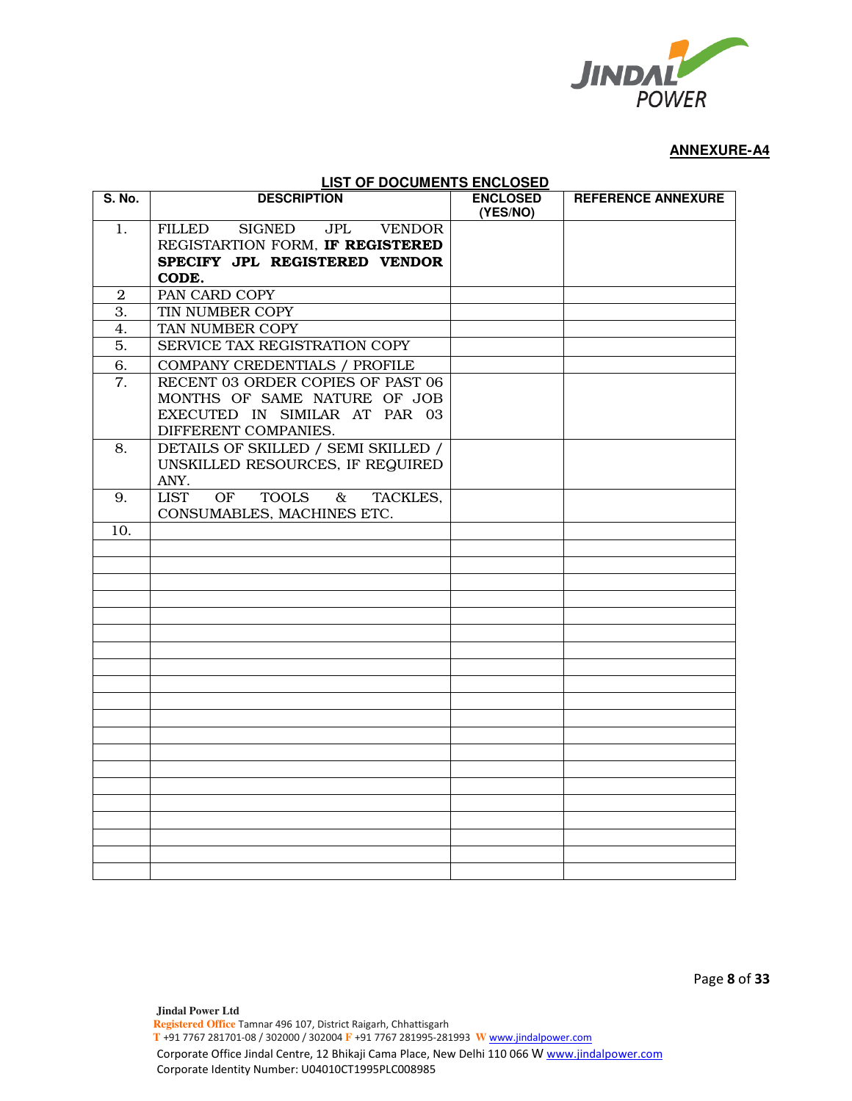

| <b>LIST OF DOCUMENTS ENCLOSED</b> |                                                        |                             |                           |  |  |  |  |
|-----------------------------------|--------------------------------------------------------|-----------------------------|---------------------------|--|--|--|--|
| S. No.                            | <b>DESCRIPTION</b>                                     | <b>ENCLOSED</b><br>(YES/NO) | <b>REFERENCE ANNEXURE</b> |  |  |  |  |
| 1.                                | <b>SIGNED</b><br><b>JPL</b><br><b>VENDOR</b><br>FILLED |                             |                           |  |  |  |  |
|                                   | REGISTARTION FORM, IF REGISTERED                       |                             |                           |  |  |  |  |
|                                   | SPECIFY JPL REGISTERED VENDOR                          |                             |                           |  |  |  |  |
|                                   | CODE.                                                  |                             |                           |  |  |  |  |
| $\overline{2}$                    | PAN CARD COPY                                          |                             |                           |  |  |  |  |
| 3.                                | TIN NUMBER COPY                                        |                             |                           |  |  |  |  |
| 4.                                | TAN NUMBER COPY                                        |                             |                           |  |  |  |  |
| 5.                                | SERVICE TAX REGISTRATION COPY                          |                             |                           |  |  |  |  |
| 6.                                | COMPANY CREDENTIALS / PROFILE                          |                             |                           |  |  |  |  |
| 7.                                | RECENT 03 ORDER COPIES OF PAST 06                      |                             |                           |  |  |  |  |
|                                   | MONTHS OF SAME NATURE OF JOB                           |                             |                           |  |  |  |  |
|                                   | EXECUTED IN SIMILAR AT PAR 03                          |                             |                           |  |  |  |  |
|                                   | DIFFERENT COMPANIES.                                   |                             |                           |  |  |  |  |
| 8.                                | DETAILS OF SKILLED / SEMI SKILLED /                    |                             |                           |  |  |  |  |
|                                   | UNSKILLED RESOURCES, IF REQUIRED                       |                             |                           |  |  |  |  |
|                                   | ANY.                                                   |                             |                           |  |  |  |  |
| 9.                                | TOOLS &<br>OF<br><b>LIST</b><br>TACKLES.               |                             |                           |  |  |  |  |
|                                   | CONSUMABLES, MACHINES ETC.                             |                             |                           |  |  |  |  |
| 10.                               |                                                        |                             |                           |  |  |  |  |
|                                   |                                                        |                             |                           |  |  |  |  |
|                                   |                                                        |                             |                           |  |  |  |  |
|                                   |                                                        |                             |                           |  |  |  |  |
|                                   |                                                        |                             |                           |  |  |  |  |
|                                   |                                                        |                             |                           |  |  |  |  |
|                                   |                                                        |                             |                           |  |  |  |  |
|                                   |                                                        |                             |                           |  |  |  |  |
|                                   |                                                        |                             |                           |  |  |  |  |
|                                   |                                                        |                             |                           |  |  |  |  |
|                                   |                                                        |                             |                           |  |  |  |  |
|                                   |                                                        |                             |                           |  |  |  |  |
|                                   |                                                        |                             |                           |  |  |  |  |
|                                   |                                                        |                             |                           |  |  |  |  |
|                                   |                                                        |                             |                           |  |  |  |  |
|                                   |                                                        |                             |                           |  |  |  |  |
|                                   |                                                        |                             |                           |  |  |  |  |
|                                   |                                                        |                             |                           |  |  |  |  |
|                                   |                                                        |                             |                           |  |  |  |  |
|                                   |                                                        |                             |                           |  |  |  |  |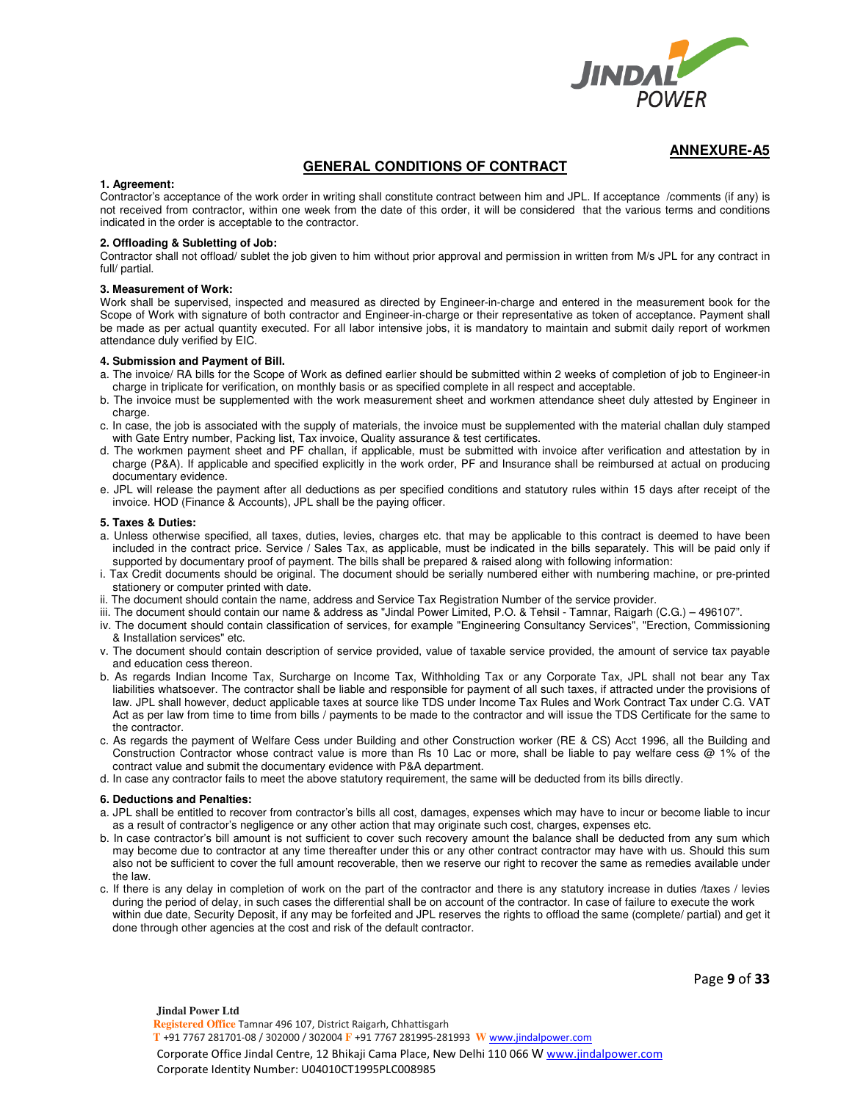

### **GENERAL CONDITIONS OF CONTRACT**

#### **1. Agreement:**

Contractor's acceptance of the work order in writing shall constitute contract between him and JPL. If acceptance /comments (if any) is not received from contractor, within one week from the date of this order, it will be considered that the various terms and conditions indicated in the order is acceptable to the contractor.

#### **2. Offloading & Subletting of Job:**

Contractor shall not offload/ sublet the job given to him without prior approval and permission in written from M/s JPL for any contract in full/ partial.

#### **3. Measurement of Work:**

Work shall be supervised, inspected and measured as directed by Engineer-in-charge and entered in the measurement book for the Scope of Work with signature of both contractor and Engineer-in-charge or their representative as token of acceptance. Payment shall be made as per actual quantity executed. For all labor intensive jobs, it is mandatory to maintain and submit daily report of workmen attendance duly verified by EIC.

#### **4. Submission and Payment of Bill.**

- a. The invoice/ RA bills for the Scope of Work as defined earlier should be submitted within 2 weeks of completion of job to Engineer-in charge in triplicate for verification, on monthly basis or as specified complete in all respect and acceptable.
- b. The invoice must be supplemented with the work measurement sheet and workmen attendance sheet duly attested by Engineer in charge.
- c. In case, the job is associated with the supply of materials, the invoice must be supplemented with the material challan duly stamped with Gate Entry number, Packing list, Tax invoice, Quality assurance & test certificates.
- d. The workmen payment sheet and PF challan, if applicable, must be submitted with invoice after verification and attestation by in charge (P&A). If applicable and specified explicitly in the work order, PF and Insurance shall be reimbursed at actual on producing documentary evidence.
- e. JPL will release the payment after all deductions as per specified conditions and statutory rules within 15 days after receipt of the invoice. HOD (Finance & Accounts), JPL shall be the paying officer.

#### **5. Taxes & Duties:**

- a. Unless otherwise specified, all taxes, duties, levies, charges etc. that may be applicable to this contract is deemed to have been included in the contract price. Service / Sales Tax, as applicable, must be indicated in the bills separately. This will be paid only if supported by documentary proof of payment. The bills shall be prepared & raised along with following information:
- i. Tax Credit documents should be original. The document should be serially numbered either with numbering machine, or pre-printed stationery or computer printed with date.
- ii. The document should contain the name, address and Service Tax Registration Number of the service provider.
- iii. The document should contain our name & address as "Jindal Power Limited, P.O. & Tehsil Tamnar, Raigarh (C.G.) 496107".
- iv. The document should contain classification of services, for example "Engineering Consultancy Services", "Erection, Commissioning & Installation services" etc.
- v. The document should contain description of service provided, value of taxable service provided, the amount of service tax payable and education cess thereon.
- b. As regards Indian Income Tax, Surcharge on Income Tax, Withholding Tax or any Corporate Tax, JPL shall not bear any Tax liabilities whatsoever. The contractor shall be liable and responsible for payment of all such taxes, if attracted under the provisions of law. JPL shall however, deduct applicable taxes at source like TDS under Income Tax Rules and Work Contract Tax under C.G. VAT Act as per law from time to time from bills / payments to be made to the contractor and will issue the TDS Certificate for the same to the contractor.
- c. As regards the payment of Welfare Cess under Building and other Construction worker (RE & CS) Acct 1996, all the Building and Construction Contractor whose contract value is more than Rs 10 Lac or more, shall be liable to pay welfare cess @ 1% of the contract value and submit the documentary evidence with P&A department.
- d. In case any contractor fails to meet the above statutory requirement, the same will be deducted from its bills directly.

#### **6. Deductions and Penalties:**

- a. JPL shall be entitled to recover from contractor's bills all cost, damages, expenses which may have to incur or become liable to incur as a result of contractor's negligence or any other action that may originate such cost, charges, expenses etc.
- b. In case contractor's bill amount is not sufficient to cover such recovery amount the balance shall be deducted from any sum which may become due to contractor at any time thereafter under this or any other contract contractor may have with us. Should this sum also not be sufficient to cover the full amount recoverable, then we reserve our right to recover the same as remedies available under the law.
- c. If there is any delay in completion of work on the part of the contractor and there is any statutory increase in duties /taxes / levies during the period of delay, in such cases the differential shall be on account of the contractor. In case of failure to execute the work within due date, Security Deposit, if any may be forfeited and JPL reserves the rights to offload the same (complete/ partial) and get it done through other agencies at the cost and risk of the default contractor.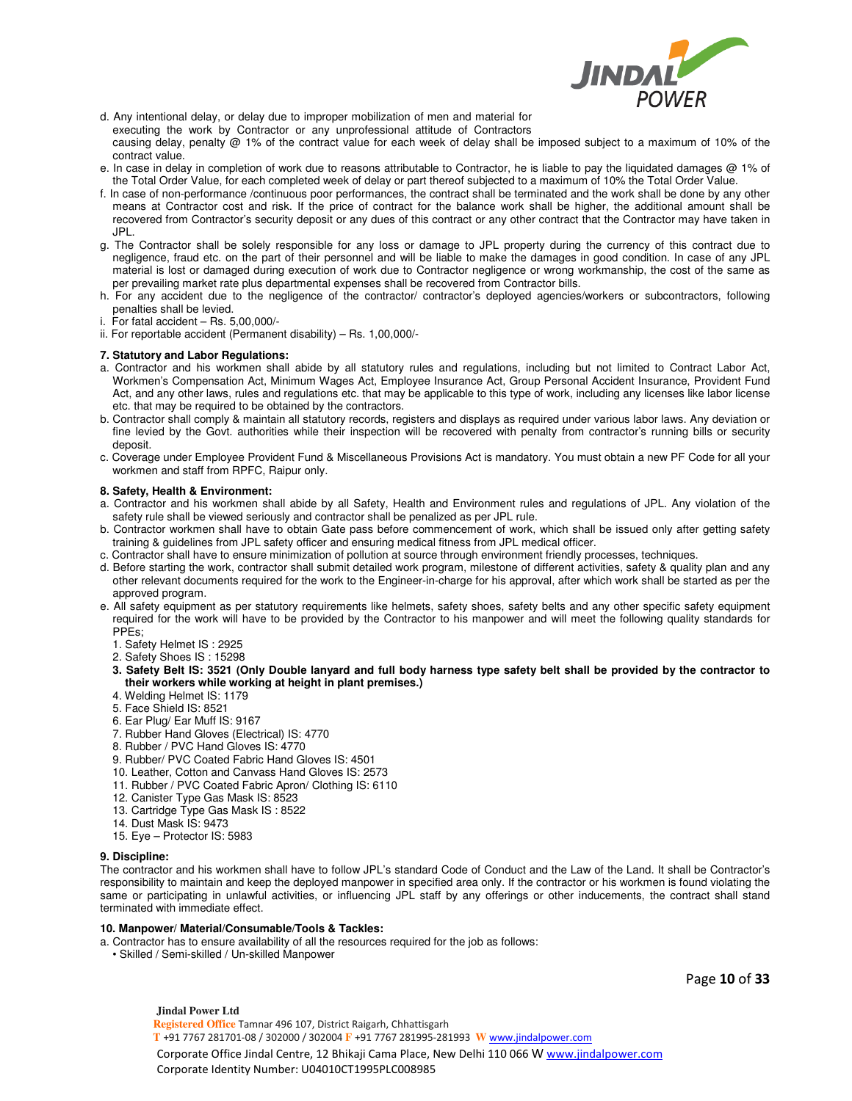

d. Any intentional delay, or delay due to improper mobilization of men and material for executing the work by Contractor or any unprofessional attitude of Contractors causing delay, penalty @ 1% of the contract value for each week of delay shall be imposed subject to a maximum of 10% of the contract value.

- e. In case in delay in completion of work due to reasons attributable to Contractor, he is liable to pay the liquidated damages @ 1% of the Total Order Value, for each completed week of delay or part thereof subjected to a maximum of 10% the Total Order Value.
- f. In case of non-performance /continuous poor performances, the contract shall be terminated and the work shall be done by any other means at Contractor cost and risk. If the price of contract for the balance work shall be higher, the additional amount shall be recovered from Contractor's security deposit or any dues of this contract or any other contract that the Contractor may have taken in JPL.
- g. The Contractor shall be solely responsible for any loss or damage to JPL property during the currency of this contract due to negligence, fraud etc. on the part of their personnel and will be liable to make the damages in good condition. In case of any JPL material is lost or damaged during execution of work due to Contractor negligence or wrong workmanship, the cost of the same as per prevailing market rate plus departmental expenses shall be recovered from Contractor bills.
- h. For any accident due to the negligence of the contractor/ contractor's deployed agencies/workers or subcontractors, following penalties shall be levied.

i. For fatal accident  $-$  Rs.  $5,00,000/$ -

ii. For reportable accident (Permanent disability) – Rs. 1,00,000/-

#### **7. Statutory and Labor Regulations:**

- a. Contractor and his workmen shall abide by all statutory rules and regulations, including but not limited to Contract Labor Act, Workmen's Compensation Act, Minimum Wages Act, Employee Insurance Act, Group Personal Accident Insurance, Provident Fund Act, and any other laws, rules and regulations etc. that may be applicable to this type of work, including any licenses like labor license etc. that may be required to be obtained by the contractors.
- b. Contractor shall comply & maintain all statutory records, registers and displays as required under various labor laws. Any deviation or fine levied by the Govt. authorities while their inspection will be recovered with penalty from contractor's running bills or security deposit.
- c. Coverage under Employee Provident Fund & Miscellaneous Provisions Act is mandatory. You must obtain a new PF Code for all your workmen and staff from RPFC, Raipur only.

#### **8. Safety, Health & Environment:**

- a. Contractor and his workmen shall abide by all Safety, Health and Environment rules and regulations of JPL. Any violation of the safety rule shall be viewed seriously and contractor shall be penalized as per JPL rule.
- b. Contractor workmen shall have to obtain Gate pass before commencement of work, which shall be issued only after getting safety training & guidelines from JPL safety officer and ensuring medical fitness from JPL medical officer.
- c. Contractor shall have to ensure minimization of pollution at source through environment friendly processes, techniques.
- d. Before starting the work, contractor shall submit detailed work program, milestone of different activities, safety & quality plan and any other relevant documents required for the work to the Engineer-in-charge for his approval, after which work shall be started as per the approved program.
- e. All safety equipment as per statutory requirements like helmets, safety shoes, safety belts and any other specific safety equipment required for the work will have to be provided by the Contractor to his manpower and will meet the following quality standards for PPEs;
	- 1. Safety Helmet IS : 2925
	- 2. Safety Shoes IS : 15298
	- **3. Safety Belt IS: 3521 (Only Double lanyard and full body harness type safety belt shall be provided by the contractor to their workers while working at height in plant premises.)**
	- 4. Welding Helmet IS: 1179
	- 5. Face Shield IS: 8521
	- 6. Ear Plug/ Ear Muff IS: 9167
	- 7. Rubber Hand Gloves (Electrical) IS: 4770
	- 8. Rubber / PVC Hand Gloves IS: 4770
	- 9. Rubber/ PVC Coated Fabric Hand Gloves IS: 4501
	- 10. Leather, Cotton and Canvass Hand Gloves IS: 2573
	- 11. Rubber / PVC Coated Fabric Apron/ Clothing IS: 6110
	- 12. Canister Type Gas Mask IS: 8523
	- 13. Cartridge Type Gas Mask IS : 8522
	- 14. Dust Mask IS: 9473
	- 15. Eye Protector IS: 5983

#### **9. Discipline:**

The contractor and his workmen shall have to follow JPL's standard Code of Conduct and the Law of the Land. It shall be Contractor's responsibility to maintain and keep the deployed manpower in specified area only. If the contractor or his workmen is found violating the same or participating in unlawful activities, or influencing JPL staff by any offerings or other inducements, the contract shall stand terminated with immediate effect.

#### **10. Manpower/ Material/Consumable/Tools & Tackles:**

- a. Contractor has to ensure availability of all the resources required for the job as follows:
- Skilled / Semi-skilled / Un-skilled Manpower

Page **10** of **33**

**Jindal Power Ltd Registered Office** Tamnar 496 107, District Raigarh, Chhattisgarh  **T** +91 7767 281701-08 / 302000 / 302004 **F** +91 7767 281995-281993 **W** www.jindalpower.com Corporate Office Jindal Centre, 12 Bhikaji Cama Place, New Delhi 110 066 W www.jindalpower.com Corporate Identity Number: U04010CT1995PLC008985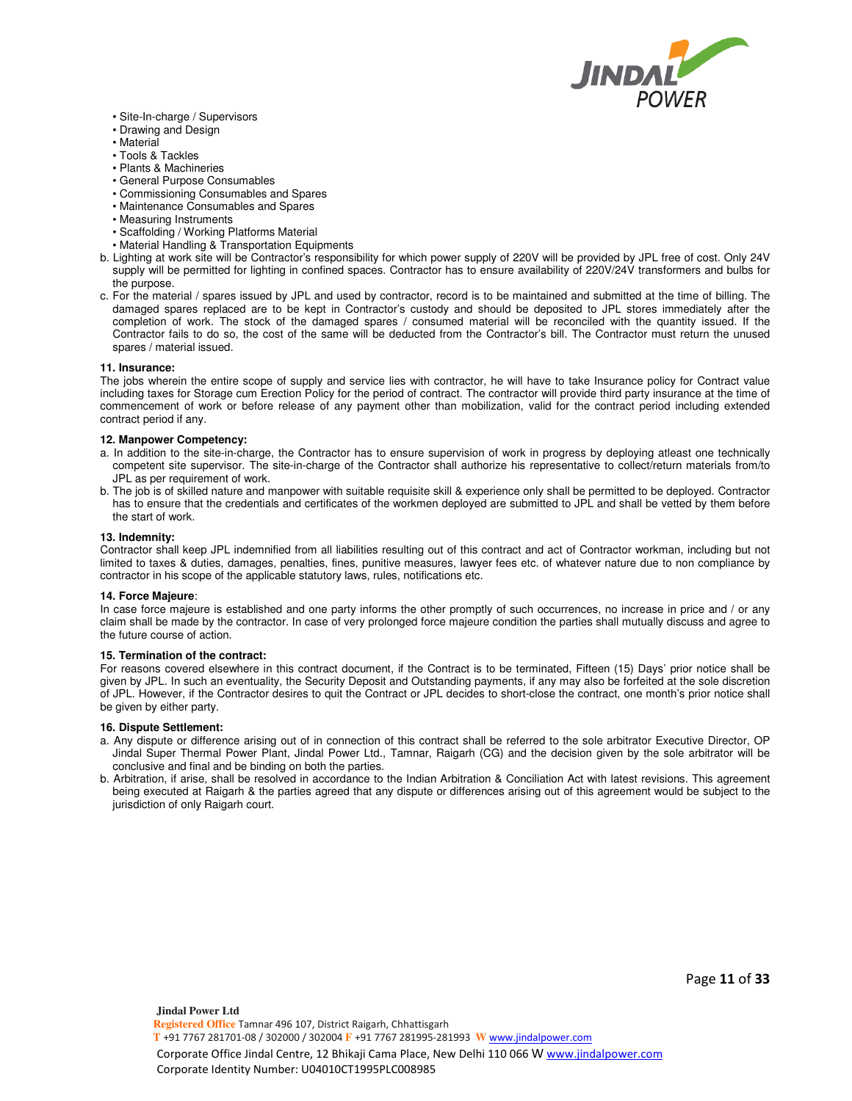

- Site-In-charge / Supervisors
- Drawing and Design
- Material
- Tools & Tackles
- Plants & Machineries
- General Purpose Consumables
- Commissioning Consumables and Spares
- Maintenance Consumables and Spares
- Measuring Instruments
- Scaffolding / Working Platforms Material
- Material Handling & Transportation Equipments
- b. Lighting at work site will be Contractor's responsibility for which power supply of 220V will be provided by JPL free of cost. Only 24V supply will be permitted for lighting in confined spaces. Contractor has to ensure availability of 220V/24V transformers and bulbs for the purpose.
- c. For the material / spares issued by JPL and used by contractor, record is to be maintained and submitted at the time of billing. The damaged spares replaced are to be kept in Contractor's custody and should be deposited to JPL stores immediately after the completion of work. The stock of the damaged spares / consumed material will be reconciled with the quantity issued. If the Contractor fails to do so, the cost of the same will be deducted from the Contractor's bill. The Contractor must return the unused spares / material issued.

#### **11. Insurance:**

The jobs wherein the entire scope of supply and service lies with contractor, he will have to take Insurance policy for Contract value including taxes for Storage cum Erection Policy for the period of contract. The contractor will provide third party insurance at the time of commencement of work or before release of any payment other than mobilization, valid for the contract period including extended contract period if any.

#### **12. Manpower Competency:**

- a. In addition to the site-in-charge, the Contractor has to ensure supervision of work in progress by deploying atleast one technically competent site supervisor. The site-in-charge of the Contractor shall authorize his representative to collect/return materials from/to JPL as per requirement of work.
- b. The job is of skilled nature and manpower with suitable requisite skill & experience only shall be permitted to be deployed. Contractor has to ensure that the credentials and certificates of the workmen deployed are submitted to JPL and shall be vetted by them before the start of work.

#### **13. Indemnity:**

Contractor shall keep JPL indemnified from all liabilities resulting out of this contract and act of Contractor workman, including but not limited to taxes & duties, damages, penalties, fines, punitive measures, lawyer fees etc. of whatever nature due to non compliance by contractor in his scope of the applicable statutory laws, rules, notifications etc.

#### **14. Force Majeure**:

In case force majeure is established and one party informs the other promptly of such occurrences, no increase in price and / or any claim shall be made by the contractor. In case of very prolonged force majeure condition the parties shall mutually discuss and agree to the future course of action.

#### **15. Termination of the contract:**

For reasons covered elsewhere in this contract document, if the Contract is to be terminated, Fifteen (15) Days' prior notice shall be given by JPL. In such an eventuality, the Security Deposit and Outstanding payments, if any may also be forfeited at the sole discretion of JPL. However, if the Contractor desires to quit the Contract or JPL decides to short-close the contract, one month's prior notice shall be given by either party.

#### **16. Dispute Settlement:**

- a. Any dispute or difference arising out of in connection of this contract shall be referred to the sole arbitrator Executive Director, OP Jindal Super Thermal Power Plant, Jindal Power Ltd., Tamnar, Raigarh (CG) and the decision given by the sole arbitrator will be conclusive and final and be binding on both the parties.
- b. Arbitration, if arise, shall be resolved in accordance to the Indian Arbitration & Conciliation Act with latest revisions. This agreement being executed at Raigarh & the parties agreed that any dispute or differences arising out of this agreement would be subject to the jurisdiction of only Raigarh court.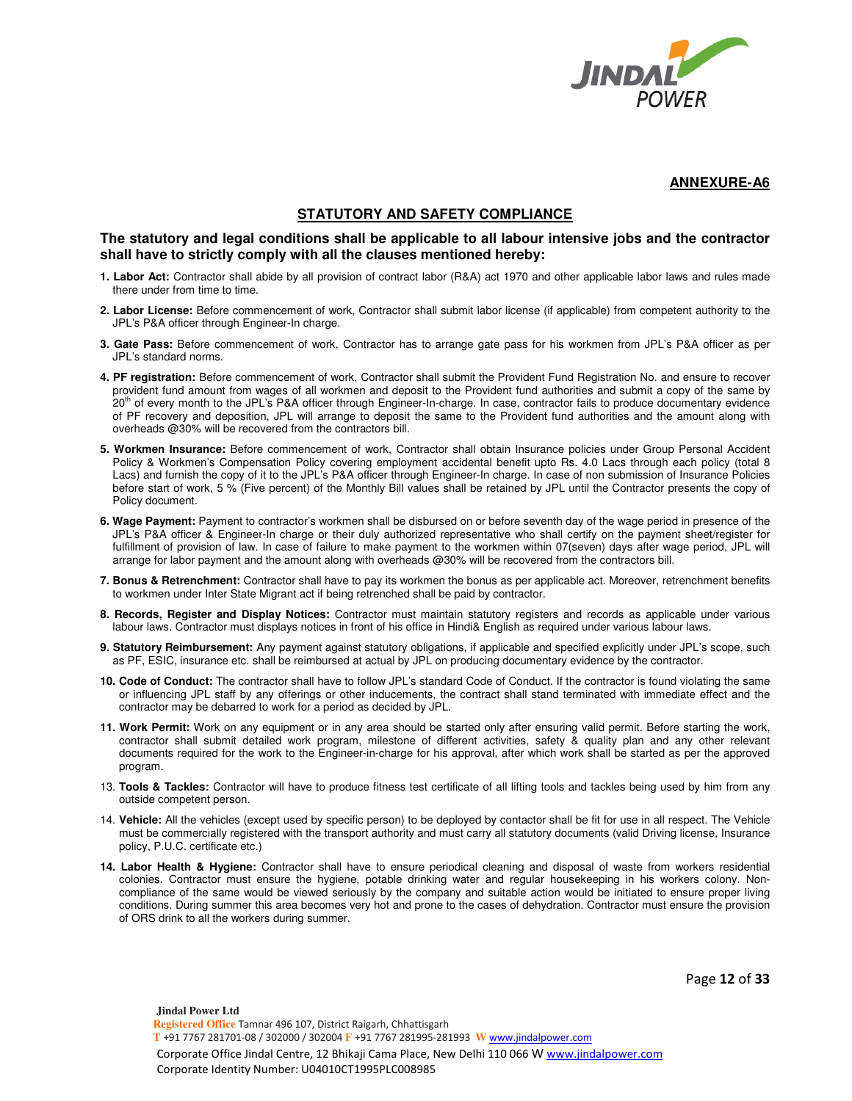

### **STATUTORY AND SAFETY COMPLIANCE**

### **The statutory and legal conditions shall be applicable to all labour intensive jobs and the contractor shall have to strictly comply with all the clauses mentioned hereby:**

- **1. Labor Act:** Contractor shall abide by all provision of contract labor (R&A) act 1970 and other applicable labor laws and rules made there under from time to time.
- **2. Labor License:** Before commencement of work, Contractor shall submit labor license (if applicable) from competent authority to the JPL's P&A officer through Engineer-In charge.
- **3. Gate Pass:** Before commencement of work, Contractor has to arrange gate pass for his workmen from JPL's P&A officer as per JPL's standard norms.
- **4. PF registration:** Before commencement of work, Contractor shall submit the Provident Fund Registration No. and ensure to recover provident fund amount from wages of all workmen and deposit to the Provident fund authorities and submit a copy of the same by 20<sup>th</sup> of every month to the JPL's P&A officer through Engineer-In-charge. In case, contractor fails to produce documentary evidence of PF recovery and deposition, JPL will arrange to deposit the same to the Provident fund authorities and the amount along with overheads @30% will be recovered from the contractors bill.
- **5. Workmen Insurance:** Before commencement of work, Contractor shall obtain Insurance policies under Group Personal Accident Policy & Workmen's Compensation Policy covering employment accidental benefit upto Rs. 4.0 Lacs through each policy (total 8 Lacs) and furnish the copy of it to the JPL's P&A officer through Engineer-In charge. In case of non submission of Insurance Policies before start of work, 5 % (Five percent) of the Monthly Bill values shall be retained by JPL until the Contractor presents the copy of Policy document.
- **6. Wage Payment:** Payment to contractor's workmen shall be disbursed on or before seventh day of the wage period in presence of the JPL's P&A officer & Engineer-In charge or their duly authorized representative who shall certify on the payment sheet/register for fulfillment of provision of law. In case of failure to make payment to the workmen within 07(seven) days after wage period, JPL will arrange for labor payment and the amount along with overheads @30% will be recovered from the contractors bill.
- **7. Bonus & Retrenchment:** Contractor shall have to pay its workmen the bonus as per applicable act. Moreover, retrenchment benefits to workmen under Inter State Migrant act if being retrenched shall be paid by contractor.
- **8. Records, Register and Display Notices:** Contractor must maintain statutory registers and records as applicable under various labour laws. Contractor must displays notices in front of his office in Hindi& English as required under various labour laws.
- **9. Statutory Reimbursement:** Any payment against statutory obligations, if applicable and specified explicitly under JPL's scope, such as PF, ESIC, insurance etc. shall be reimbursed at actual by JPL on producing documentary evidence by the contractor.
- **10. Code of Conduct:** The contractor shall have to follow JPL's standard Code of Conduct. If the contractor is found violating the same or influencing JPL staff by any offerings or other inducements, the contract shall stand terminated with immediate effect and the contractor may be debarred to work for a period as decided by JPL.
- **11. Work Permit:** Work on any equipment or in any area should be started only after ensuring valid permit. Before starting the work, contractor shall submit detailed work program, milestone of different activities, safety & quality plan and any other relevant documents required for the work to the Engineer-in-charge for his approval, after which work shall be started as per the approved program.
- 13. **Tools & Tackles:** Contractor will have to produce fitness test certificate of all lifting tools and tackles being used by him from any outside competent person.
- 14. **Vehicle:** All the vehicles (except used by specific person) to be deployed by contactor shall be fit for use in all respect. The Vehicle must be commercially registered with the transport authority and must carry all statutory documents (valid Driving license, Insurance policy, P.U.C. certificate etc.)
- **14. Labor Health & Hygiene:** Contractor shall have to ensure periodical cleaning and disposal of waste from workers residential colonies. Contractor must ensure the hygiene, potable drinking water and regular housekeeping in his workers colony. Noncompliance of the same would be viewed seriously by the company and suitable action would be initiated to ensure proper living conditions. During summer this area becomes very hot and prone to the cases of dehydration. Contractor must ensure the provision of ORS drink to all the workers during summer.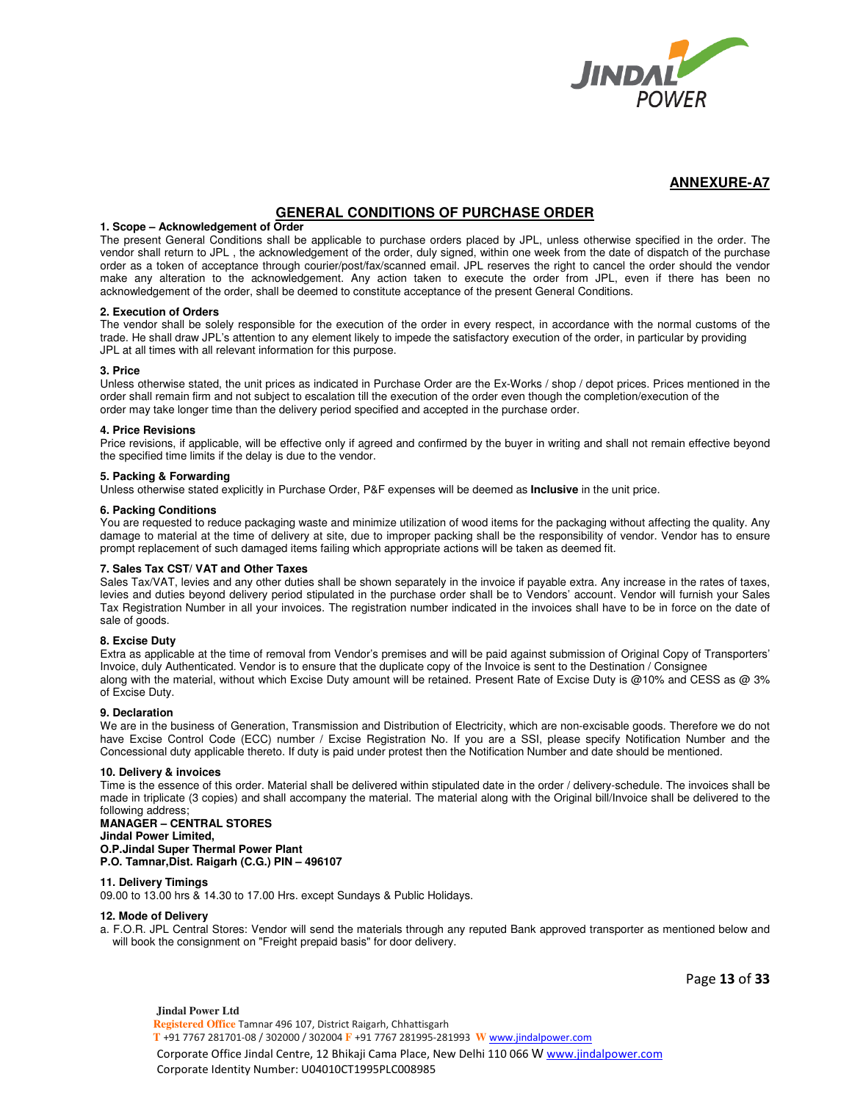

## **GENERAL CONDITIONS OF PURCHASE ORDER**

#### **1. Scope – Acknowledgement of Order**

The present General Conditions shall be applicable to purchase orders placed by JPL, unless otherwise specified in the order. The vendor shall return to JPL , the acknowledgement of the order, duly signed, within one week from the date of dispatch of the purchase order as a token of acceptance through courier/post/fax/scanned email. JPL reserves the right to cancel the order should the vendor make any alteration to the acknowledgement. Any action taken to execute the order from JPL, even if there has been no acknowledgement of the order, shall be deemed to constitute acceptance of the present General Conditions.

#### **2. Execution of Orders**

The vendor shall be solely responsible for the execution of the order in every respect, in accordance with the normal customs of the trade. He shall draw JPL's attention to any element likely to impede the satisfactory execution of the order, in particular by providing JPL at all times with all relevant information for this purpose.

#### **3. Price**

Unless otherwise stated, the unit prices as indicated in Purchase Order are the Ex-Works / shop / depot prices. Prices mentioned in the order shall remain firm and not subject to escalation till the execution of the order even though the completion/execution of the order may take longer time than the delivery period specified and accepted in the purchase order.

#### **4. Price Revisions**

Price revisions, if applicable, will be effective only if agreed and confirmed by the buyer in writing and shall not remain effective beyond the specified time limits if the delay is due to the vendor.

#### **5. Packing & Forwarding**

Unless otherwise stated explicitly in Purchase Order, P&F expenses will be deemed as **Inclusive** in the unit price.

#### **6. Packing Conditions**

You are requested to reduce packaging waste and minimize utilization of wood items for the packaging without affecting the quality. Any damage to material at the time of delivery at site, due to improper packing shall be the responsibility of vendor. Vendor has to ensure prompt replacement of such damaged items failing which appropriate actions will be taken as deemed fit.

#### **7. Sales Tax CST/ VAT and Other Taxes**

Sales Tax/VAT, levies and any other duties shall be shown separately in the invoice if payable extra. Any increase in the rates of taxes, levies and duties beyond delivery period stipulated in the purchase order shall be to Vendors' account. Vendor will furnish your Sales Tax Registration Number in all your invoices. The registration number indicated in the invoices shall have to be in force on the date of sale of goods.

#### **8. Excise Duty**

Extra as applicable at the time of removal from Vendor's premises and will be paid against submission of Original Copy of Transporters' Invoice, duly Authenticated. Vendor is to ensure that the duplicate copy of the Invoice is sent to the Destination / Consignee along with the material, without which Excise Duty amount will be retained. Present Rate of Excise Duty is @10% and CESS as @ 3% of Excise Duty.

#### **9. Declaration**

We are in the business of Generation, Transmission and Distribution of Electricity, which are non-excisable goods. Therefore we do not have Excise Control Code (ECC) number / Excise Registration No. If you are a SSI, please specify Notification Number and the Concessional duty applicable thereto. If duty is paid under protest then the Notification Number and date should be mentioned.

#### **10. Delivery & invoices**

Time is the essence of this order. Material shall be delivered within stipulated date in the order / delivery-schedule. The invoices shall be made in triplicate (3 copies) and shall accompany the material. The material along with the Original bill/Invoice shall be delivered to the following address;

#### **MANAGER – CENTRAL STORES Jindal Power Limited, O.P.Jindal Super Thermal Power Plant P.O. Tamnar,Dist. Raigarh (C.G.) PIN – 496107**

#### **11. Delivery Timings**

09.00 to 13.00 hrs & 14.30 to 17.00 Hrs. except Sundays & Public Holidays.

#### **12. Mode of Delivery**

a. F.O.R. JPL Central Stores: Vendor will send the materials through any reputed Bank approved transporter as mentioned below and will book the consignment on "Freight prepaid basis" for door delivery.

Page **13** of **33**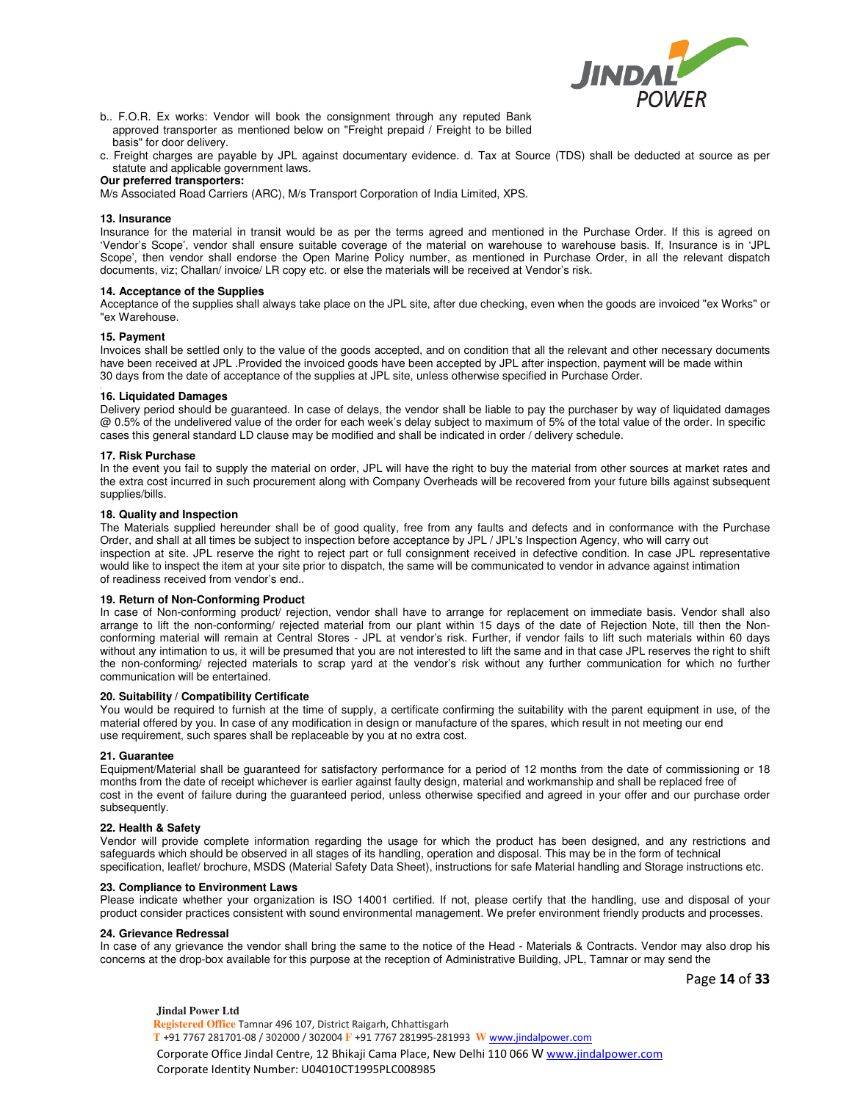

- b.. F.O.R. Ex works: Vendor will book the consignment through any reputed Bank approved transporter as mentioned below on "Freight prepaid / Freight to be billed basis" for door delivery.
- c. Freight charges are payable by JPL against documentary evidence. d. Tax at Source (TDS) shall be deducted at source as per statute and applicable government laws.

### **Our preferred transporters:**

M/s Associated Road Carriers (ARC), M/s Transport Corporation of India Limited, XPS.

#### **13. Insurance**

Insurance for the material in transit would be as per the terms agreed and mentioned in the Purchase Order. If this is agreed on 'Vendor's Scope', vendor shall ensure suitable coverage of the material on warehouse to warehouse basis. If, Insurance is in 'JPL Scope', then vendor shall endorse the Open Marine Policy number, as mentioned in Purchase Order, in all the relevant dispatch documents, viz; Challan/ invoice/ LR copy etc. or else the materials will be received at Vendor's risk.

#### **14. Acceptance of the Supplies**

Acceptance of the supplies shall always take place on the JPL site, after due checking, even when the goods are invoiced "ex Works" or "ex Warehouse.

#### **15. Payment**

Invoices shall be settled only to the value of the goods accepted, and on condition that all the relevant and other necessary documents have been received at JPL .Provided the invoiced goods have been accepted by JPL after inspection, payment will be made within 30 days from the date of acceptance of the supplies at JPL site, unless otherwise specified in Purchase Order.

#### . **16. Liquidated Damages**

Delivery period should be guaranteed. In case of delays, the vendor shall be liable to pay the purchaser by way of liquidated damages @ 0.5% of the undelivered value of the order for each week's delay subject to maximum of 5% of the total value of the order. In specific cases this general standard LD clause may be modified and shall be indicated in order / delivery schedule.

#### **17. Risk Purchase**

In the event you fail to supply the material on order, JPL will have the right to buy the material from other sources at market rates and the extra cost incurred in such procurement along with Company Overheads will be recovered from your future bills against subsequent supplies/bills.

#### **18. Quality and Inspection**

The Materials supplied hereunder shall be of good quality, free from any faults and defects and in conformance with the Purchase Order, and shall at all times be subject to inspection before acceptance by JPL / JPL's Inspection Agency, who will carry out inspection at site. JPL reserve the right to reject part or full consignment received in defective condition. In case JPL representative would like to inspect the item at your site prior to dispatch, the same will be communicated to vendor in advance against intimation of readiness received from vendor's end..

#### **19. Return of Non-Conforming Product**

In case of Non-conforming product/ rejection, vendor shall have to arrange for replacement on immediate basis. Vendor shall also arrange to lift the non-conforming/ rejected material from our plant within 15 days of the date of Rejection Note, till then the Nonconforming material will remain at Central Stores - JPL at vendor's risk. Further, if vendor fails to lift such materials within 60 days without any intimation to us, it will be presumed that you are not interested to lift the same and in that case JPL reserves the right to shift the non-conforming/ rejected materials to scrap yard at the vendor's risk without any further communication for which no further communication will be entertained.

#### **20. Suitability / Compatibility Certificate**

You would be required to furnish at the time of supply, a certificate confirming the suitability with the parent equipment in use, of the material offered by you. In case of any modification in design or manufacture of the spares, which result in not meeting our end use requirement, such spares shall be replaceable by you at no extra cost.

#### **21. Guarantee**

Equipment/Material shall be guaranteed for satisfactory performance for a period of 12 months from the date of commissioning or 18 months from the date of receipt whichever is earlier against faulty design, material and workmanship and shall be replaced free of cost in the event of failure during the guaranteed period, unless otherwise specified and agreed in your offer and our purchase order subsequently.

#### **22. Health & Safety**

Vendor will provide complete information regarding the usage for which the product has been designed, and any restrictions and safeguards which should be observed in all stages of its handling, operation and disposal. This may be in the form of technical specification, leaflet/ brochure, MSDS (Material Safety Data Sheet), instructions for safe Material handling and Storage instructions etc.

#### **23. Compliance to Environment Laws**

Please indicate whether your organization is ISO 14001 certified. If not, please certify that the handling, use and disposal of your product consider practices consistent with sound environmental management. We prefer environment friendly products and processes.

#### **24. Grievance Redressal**

In case of any grievance the vendor shall bring the same to the notice of the Head - Materials & Contracts. Vendor may also drop his concerns at the drop-box available for this purpose at the reception of Administrative Building, JPL, Tamnar or may send the

Page **14** of **33**

**Jindal Power Ltd Registered Office** Tamnar 496 107, District Raigarh, Chhattisgarh  **T** +91 7767 281701-08 / 302000 / 302004 **F** +91 7767 281995-281993 **W** www.jindalpower.com Corporate Office Jindal Centre, 12 Bhikaji Cama Place, New Delhi 110 066 W www.jindalpower.com Corporate Identity Number: U04010CT1995PLC008985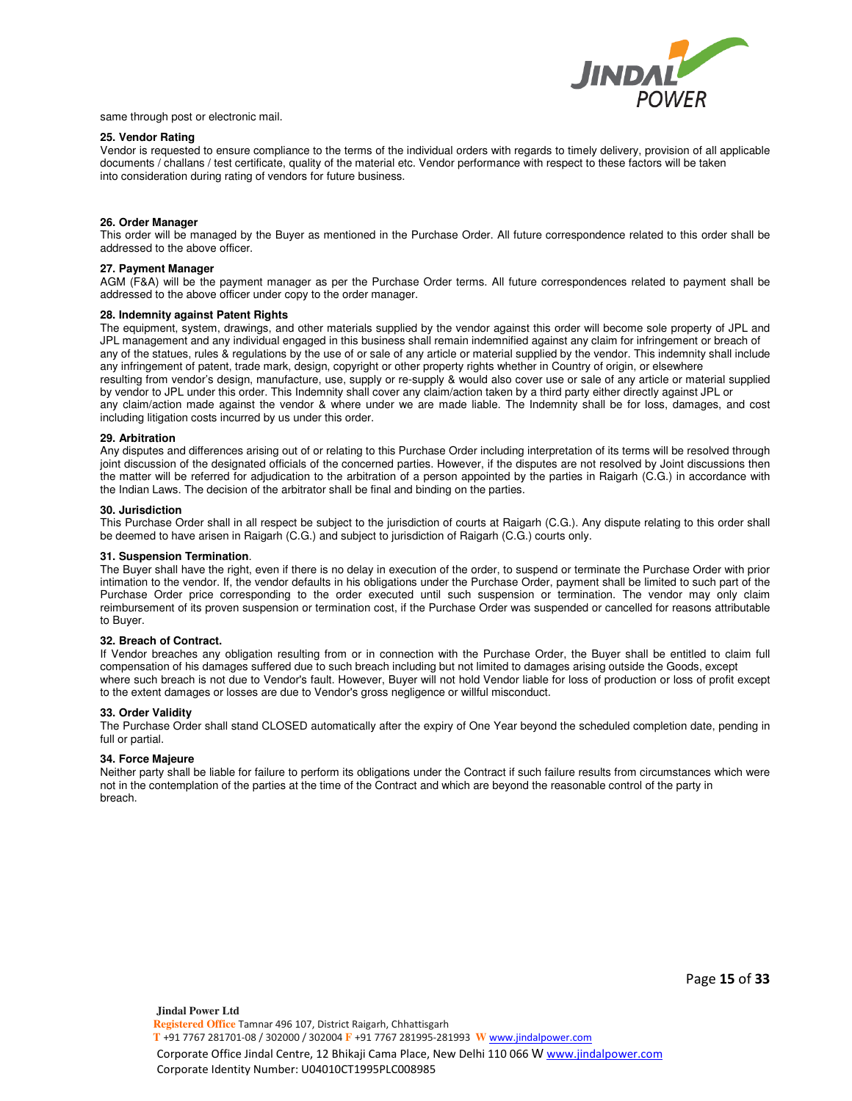

same through post or electronic mail.

#### **25. Vendor Rating**

Vendor is requested to ensure compliance to the terms of the individual orders with regards to timely delivery, provision of all applicable documents / challans / test certificate, quality of the material etc. Vendor performance with respect to these factors will be taken into consideration during rating of vendors for future business.

#### **26. Order Manager**

This order will be managed by the Buyer as mentioned in the Purchase Order. All future correspondence related to this order shall be addressed to the above officer.

#### **27. Payment Manager**

AGM (F&A) will be the payment manager as per the Purchase Order terms. All future correspondences related to payment shall be addressed to the above officer under copy to the order manager.

#### **28. Indemnity against Patent Rights**

The equipment, system, drawings, and other materials supplied by the vendor against this order will become sole property of JPL and JPL management and any individual engaged in this business shall remain indemnified against any claim for infringement or breach of any of the statues, rules & regulations by the use of or sale of any article or material supplied by the vendor. This indemnity shall include any infringement of patent, trade mark, design, copyright or other property rights whether in Country of origin, or elsewhere resulting from vendor's design, manufacture, use, supply or re-supply & would also cover use or sale of any article or material supplied by vendor to JPL under this order. This Indemnity shall cover any claim/action taken by a third party either directly against JPL or any claim/action made against the vendor & where under we are made liable. The Indemnity shall be for loss, damages, and cost including litigation costs incurred by us under this order.

#### **29. Arbitration**

Any disputes and differences arising out of or relating to this Purchase Order including interpretation of its terms will be resolved through joint discussion of the designated officials of the concerned parties. However, if the disputes are not resolved by Joint discussions then the matter will be referred for adjudication to the arbitration of a person appointed by the parties in Raigarh (C.G.) in accordance with the Indian Laws. The decision of the arbitrator shall be final and binding on the parties.

#### **30. Jurisdiction**

This Purchase Order shall in all respect be subject to the jurisdiction of courts at Raigarh (C.G.). Any dispute relating to this order shall be deemed to have arisen in Raigarh (C.G.) and subject to jurisdiction of Raigarh (C.G.) courts only.

#### **31. Suspension Termination**.

The Buyer shall have the right, even if there is no delay in execution of the order, to suspend or terminate the Purchase Order with prior intimation to the vendor. If, the vendor defaults in his obligations under the Purchase Order, payment shall be limited to such part of the Purchase Order price corresponding to the order executed until such suspension or termination. The vendor may only claim reimbursement of its proven suspension or termination cost, if the Purchase Order was suspended or cancelled for reasons attributable to Buyer.

#### **32. Breach of Contract.**

If Vendor breaches any obligation resulting from or in connection with the Purchase Order, the Buyer shall be entitled to claim full compensation of his damages suffered due to such breach including but not limited to damages arising outside the Goods, except where such breach is not due to Vendor's fault. However, Buyer will not hold Vendor liable for loss of production or loss of profit except to the extent damages or losses are due to Vendor's gross negligence or willful misconduct.

#### **33. Order Validity**

The Purchase Order shall stand CLOSED automatically after the expiry of One Year beyond the scheduled completion date, pending in full or partial.

#### **34. Force Majeure**

Neither party shall be liable for failure to perform its obligations under the Contract if such failure results from circumstances which were not in the contemplation of the parties at the time of the Contract and which are beyond the reasonable control of the party in breach.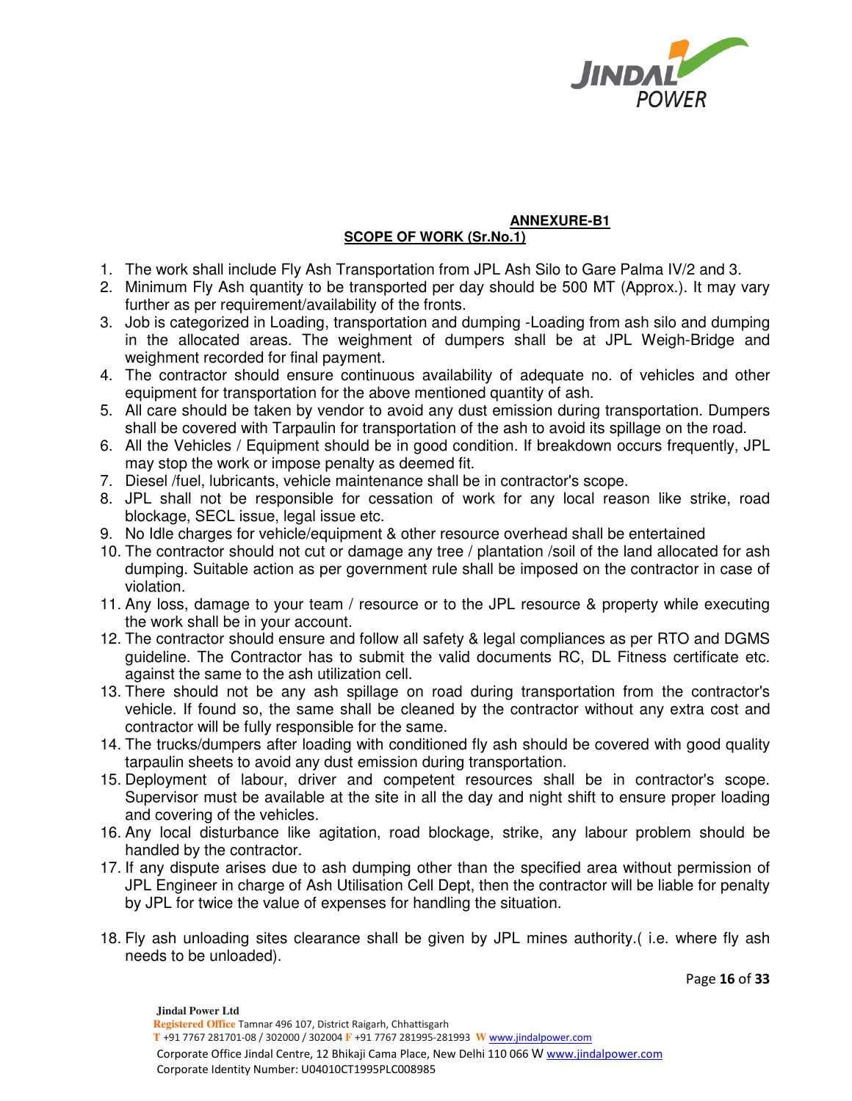

## **ANNEXURE-B1 SCOPE OF WORK (Sr.No.1)**

- 1. The work shall include Fly Ash Transportation from JPL Ash Silo to Gare Palma IV/2 and 3.
- 2. Minimum Fly Ash quantity to be transported per day should be 500 MT (Approx.). It may vary further as per requirement/availability of the fronts.
- 3. Job is categorized in Loading, transportation and dumping -Loading from ash silo and dumping in the allocated areas. The weighment of dumpers shall be at JPL Weigh-Bridge and weighment recorded for final payment.
- 4. The contractor should ensure continuous availability of adequate no. of vehicles and other equipment for transportation for the above mentioned quantity of ash.
- 5. All care should be taken by vendor to avoid any dust emission during transportation. Dumpers shall be covered with Tarpaulin for transportation of the ash to avoid its spillage on the road.
- 6. All the Vehicles / Equipment should be in good condition. If breakdown occurs frequently, JPL may stop the work or impose penalty as deemed fit.
- 7. Diesel /fuel, lubricants, vehicle maintenance shall be in contractor's scope.
- 8. JPL shall not be responsible for cessation of work for any local reason like strike, road blockage, SECL issue, legal issue etc.
- 9. No Idle charges for vehicle/equipment & other resource overhead shall be entertained
- 10. The contractor should not cut or damage any tree / plantation /soil of the land allocated for ash dumping. Suitable action as per government rule shall be imposed on the contractor in case of violation.
- 11. Any loss, damage to your team / resource or to the JPL resource & property while executing the work shall be in your account.
- 12. The contractor should ensure and follow all safety & legal compliances as per RTO and DGMS guideline. The Contractor has to submit the valid documents RC, DL Fitness certificate etc. against the same to the ash utilization cell.
- 13. There should not be any ash spillage on road during transportation from the contractor's vehicle. If found so, the same shall be cleaned by the contractor without any extra cost and contractor will be fully responsible for the same.
- 14. The trucks/dumpers after loading with conditioned fly ash should be covered with good quality tarpaulin sheets to avoid any dust emission during transportation.
- 15. Deployment of labour, driver and competent resources shall be in contractor's scope. Supervisor must be available at the site in all the day and night shift to ensure proper loading and covering of the vehicles.
- 16. Any local disturbance like agitation, road blockage, strike, any labour problem should be handled by the contractor.
- 17. If any dispute arises due to ash dumping other than the specified area without permission of JPL Engineer in charge of Ash Utilisation Cell Dept, then the contractor will be liable for penalty by JPL for twice the value of expenses for handling the situation.
- 18. Fly ash unloading sites clearance shall be given by JPL mines authority.( i.e. where fly ash needs to be unloaded).

Page **16** of **33**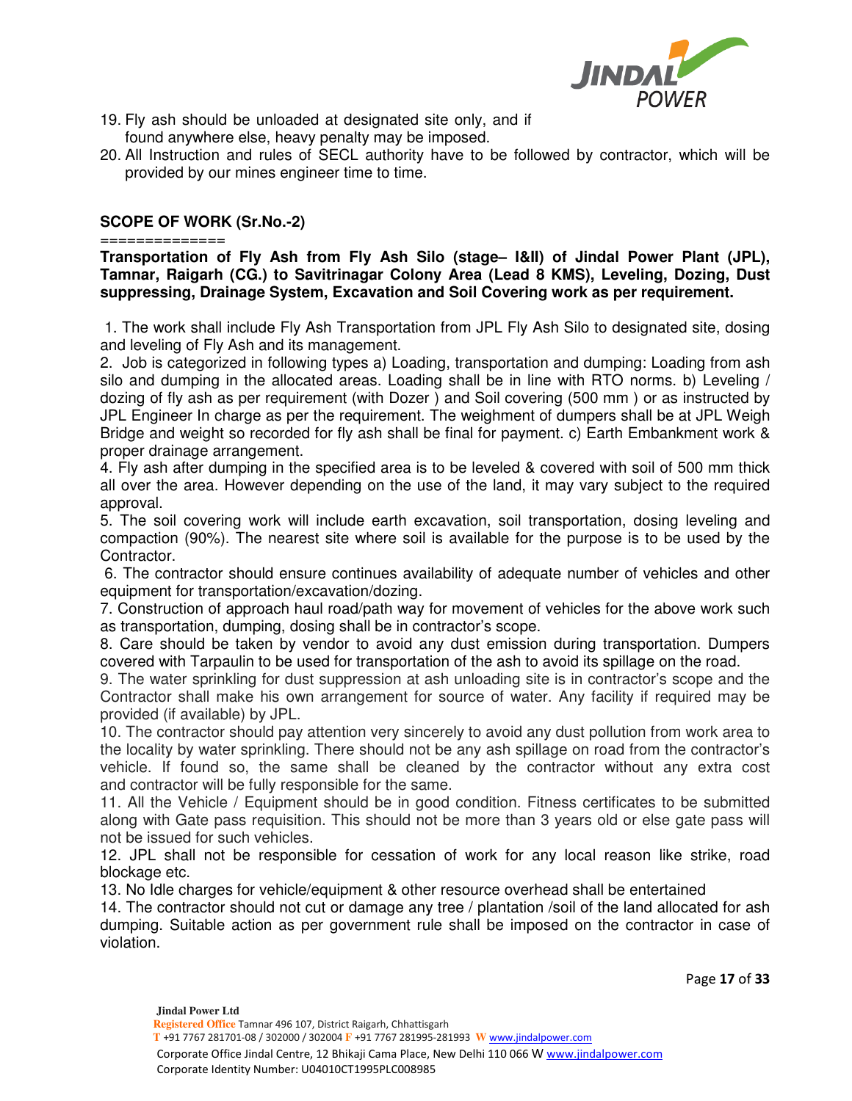

- 19. Fly ash should be unloaded at designated site only, and if found anywhere else, heavy penalty may be imposed.
- 20. All Instruction and rules of SECL authority have to be followed by contractor, which will be provided by our mines engineer time to time.

## **SCOPE OF WORK (Sr.No.-2)**

============== **Transportation of Fly Ash from Fly Ash Silo (stage– I&II) of Jindal Power Plant (JPL), Tamnar, Raigarh (CG.) to Savitrinagar Colony Area (Lead 8 KMS), Leveling, Dozing, Dust suppressing, Drainage System, Excavation and Soil Covering work as per requirement.**

 1. The work shall include Fly Ash Transportation from JPL Fly Ash Silo to designated site, dosing and leveling of Fly Ash and its management.

2. Job is categorized in following types a) Loading, transportation and dumping: Loading from ash silo and dumping in the allocated areas. Loading shall be in line with RTO norms. b) Leveling / dozing of fly ash as per requirement (with Dozer ) and Soil covering (500 mm ) or as instructed by JPL Engineer In charge as per the requirement. The weighment of dumpers shall be at JPL Weigh Bridge and weight so recorded for fly ash shall be final for payment. c) Earth Embankment work & proper drainage arrangement.

4. Fly ash after dumping in the specified area is to be leveled & covered with soil of 500 mm thick all over the area. However depending on the use of the land, it may vary subject to the required approval.

5. The soil covering work will include earth excavation, soil transportation, dosing leveling and compaction (90%). The nearest site where soil is available for the purpose is to be used by the Contractor.

 6. The contractor should ensure continues availability of adequate number of vehicles and other equipment for transportation/excavation/dozing.

7. Construction of approach haul road/path way for movement of vehicles for the above work such as transportation, dumping, dosing shall be in contractor's scope.

8. Care should be taken by vendor to avoid any dust emission during transportation. Dumpers covered with Tarpaulin to be used for transportation of the ash to avoid its spillage on the road.

9. The water sprinkling for dust suppression at ash unloading site is in contractor's scope and the Contractor shall make his own arrangement for source of water. Any facility if required may be provided (if available) by JPL.

10. The contractor should pay attention very sincerely to avoid any dust pollution from work area to the locality by water sprinkling. There should not be any ash spillage on road from the contractor's vehicle. If found so, the same shall be cleaned by the contractor without any extra cost and contractor will be fully responsible for the same.

11. All the Vehicle / Equipment should be in good condition. Fitness certificates to be submitted along with Gate pass requisition. This should not be more than 3 years old or else gate pass will not be issued for such vehicles.

12. JPL shall not be responsible for cessation of work for any local reason like strike, road blockage etc.

13. No Idle charges for vehicle/equipment & other resource overhead shall be entertained

14. The contractor should not cut or damage any tree / plantation /soil of the land allocated for ash dumping. Suitable action as per government rule shall be imposed on the contractor in case of violation.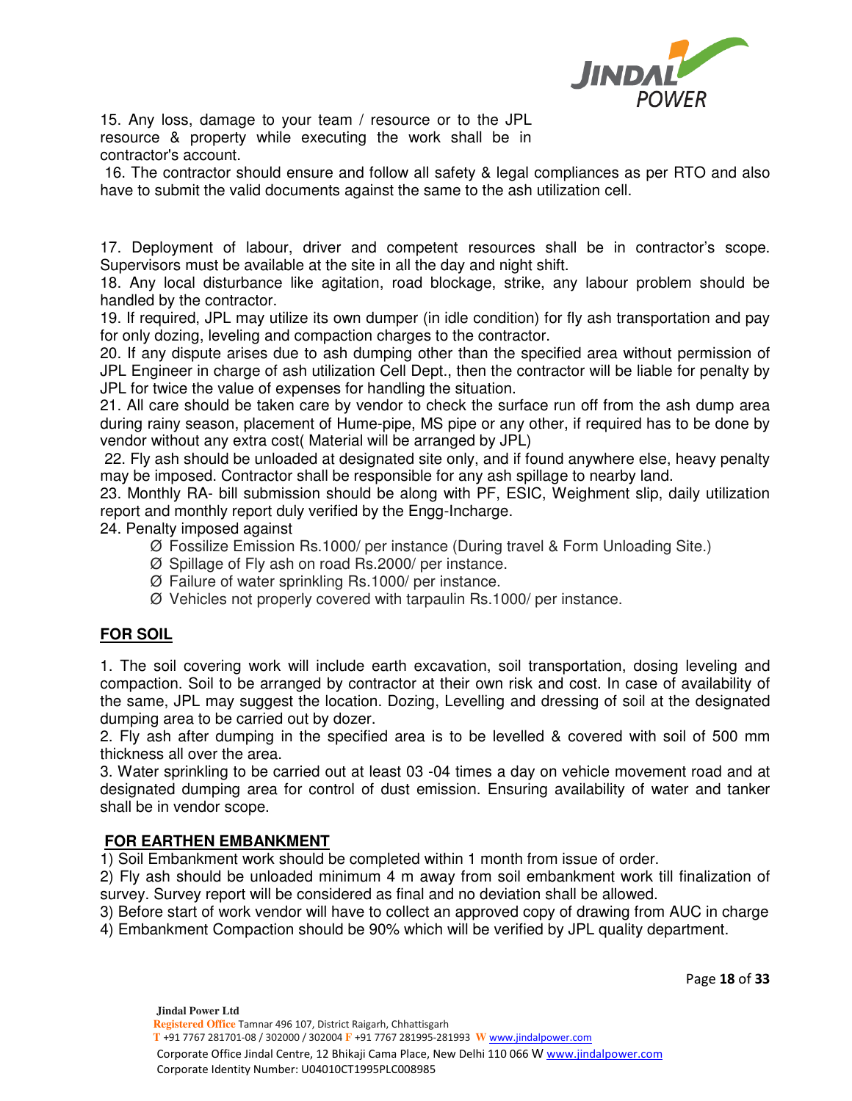

15. Any loss, damage to your team / resource or to the JPL resource & property while executing the work shall be in contractor's account.

 16. The contractor should ensure and follow all safety & legal compliances as per RTO and also have to submit the valid documents against the same to the ash utilization cell.

17. Deployment of labour, driver and competent resources shall be in contractor's scope. Supervisors must be available at the site in all the day and night shift.

18. Any local disturbance like agitation, road blockage, strike, any labour problem should be handled by the contractor.

19. If required, JPL may utilize its own dumper (in idle condition) for fly ash transportation and pay for only dozing, leveling and compaction charges to the contractor.

20. If any dispute arises due to ash dumping other than the specified area without permission of JPL Engineer in charge of ash utilization Cell Dept., then the contractor will be liable for penalty by JPL for twice the value of expenses for handling the situation.

21. All care should be taken care by vendor to check the surface run off from the ash dump area during rainy season, placement of Hume-pipe, MS pipe or any other, if required has to be done by vendor without any extra cost( Material will be arranged by JPL)

 22. Fly ash should be unloaded at designated site only, and if found anywhere else, heavy penalty may be imposed. Contractor shall be responsible for any ash spillage to nearby land.

23. Monthly RA- bill submission should be along with PF, ESIC, Weighment slip, daily utilization report and monthly report duly verified by the Engg-Incharge.

24. Penalty imposed against

- Ø Fossilize Emission Rs.1000/ per instance (During travel & Form Unloading Site.)
- Ø Spillage of Fly ash on road Rs.2000/ per instance.
- Ø Failure of water sprinkling Rs.1000/ per instance.
- Ø Vehicles not properly covered with tarpaulin Rs.1000/ per instance.

## **FOR SOIL**

1. The soil covering work will include earth excavation, soil transportation, dosing leveling and compaction. Soil to be arranged by contractor at their own risk and cost. In case of availability of the same, JPL may suggest the location. Dozing, Levelling and dressing of soil at the designated dumping area to be carried out by dozer.

2. Fly ash after dumping in the specified area is to be levelled & covered with soil of 500 mm thickness all over the area.

3. Water sprinkling to be carried out at least 03 -04 times a day on vehicle movement road and at designated dumping area for control of dust emission. Ensuring availability of water and tanker shall be in vendor scope.

## **FOR EARTHEN EMBANKMENT**

1) Soil Embankment work should be completed within 1 month from issue of order.

2) Fly ash should be unloaded minimum 4 m away from soil embankment work till finalization of survey. Survey report will be considered as final and no deviation shall be allowed.

3) Before start of work vendor will have to collect an approved copy of drawing from AUC in charge 4) Embankment Compaction should be 90% which will be verified by JPL quality department.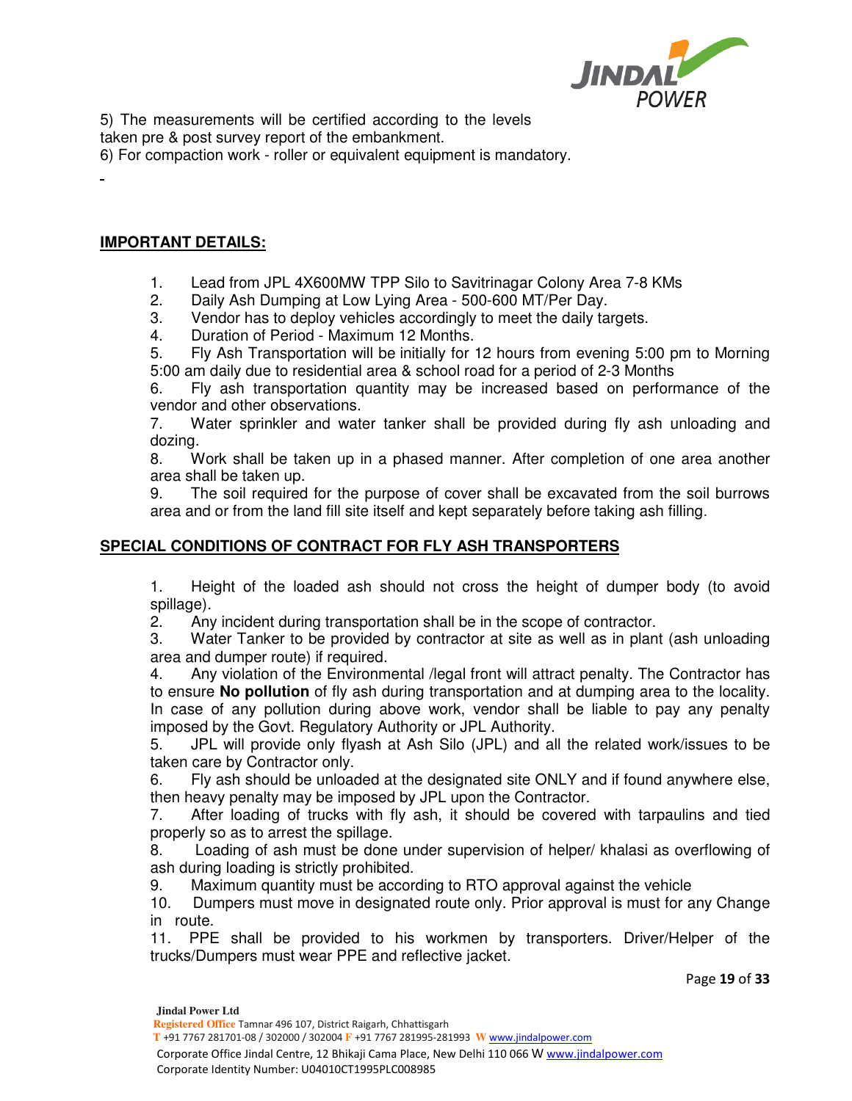

5) The measurements will be certified according to the levels taken pre & post survey report of the embankment.

6) For compaction work - roller or equivalent equipment is mandatory.

## **IMPORTANT DETAILS:**

÷

- 1. Lead from JPL 4X600MW TPP Silo to Savitrinagar Colony Area 7-8 KMs
- 2. Daily Ash Dumping at Low Lying Area 500-600 MT/Per Day.
- 3. Vendor has to deploy vehicles accordingly to meet the daily targets.
- 4. Duration of Period Maximum 12 Months.

5. Fly Ash Transportation will be initially for 12 hours from evening 5:00 pm to Morning 5:00 am daily due to residential area & school road for a period of 2-3 Months

6. Fly ash transportation quantity may be increased based on performance of the vendor and other observations.

7. Water sprinkler and water tanker shall be provided during fly ash unloading and dozing.

8. Work shall be taken up in a phased manner. After completion of one area another area shall be taken up.

9. The soil required for the purpose of cover shall be excavated from the soil burrows area and or from the land fill site itself and kept separately before taking ash filling.

## **SPECIAL CONDITIONS OF CONTRACT FOR FLY ASH TRANSPORTERS**

1. Height of the loaded ash should not cross the height of dumper body (to avoid spillage).

2. Any incident during transportation shall be in the scope of contractor.

3. Water Tanker to be provided by contractor at site as well as in plant (ash unloading area and dumper route) if required.

4. Any violation of the Environmental /legal front will attract penalty. The Contractor has to ensure **No pollution** of fly ash during transportation and at dumping area to the locality. In case of any pollution during above work, vendor shall be liable to pay any penalty imposed by the Govt. Regulatory Authority or JPL Authority.

5. JPL will provide only flyash at Ash Silo (JPL) and all the related work/issues to be taken care by Contractor only.

6. Fly ash should be unloaded at the designated site ONLY and if found anywhere else, then heavy penalty may be imposed by JPL upon the Contractor.

7. After loading of trucks with fly ash, it should be covered with tarpaulins and tied properly so as to arrest the spillage.

8. Loading of ash must be done under supervision of helper/ khalasi as overflowing of ash during loading is strictly prohibited.

9. Maximum quantity must be according to RTO approval against the vehicle

10. Dumpers must move in designated route only. Prior approval is must for any Change in route.

11. PPE shall be provided to his workmen by transporters. Driver/Helper of the trucks/Dumpers must wear PPE and reflective jacket.

Page **19** of **33**

 **T** +91 7767 281701-08 / 302000 / 302004 **F** +91 7767 281995-281993 **W** www.jindalpower.com

 Corporate Office Jindal Centre, 12 Bhikaji Cama Place, New Delhi 110 066 W www.jindalpower.com Corporate Identity Number: U04010CT1995PLC008985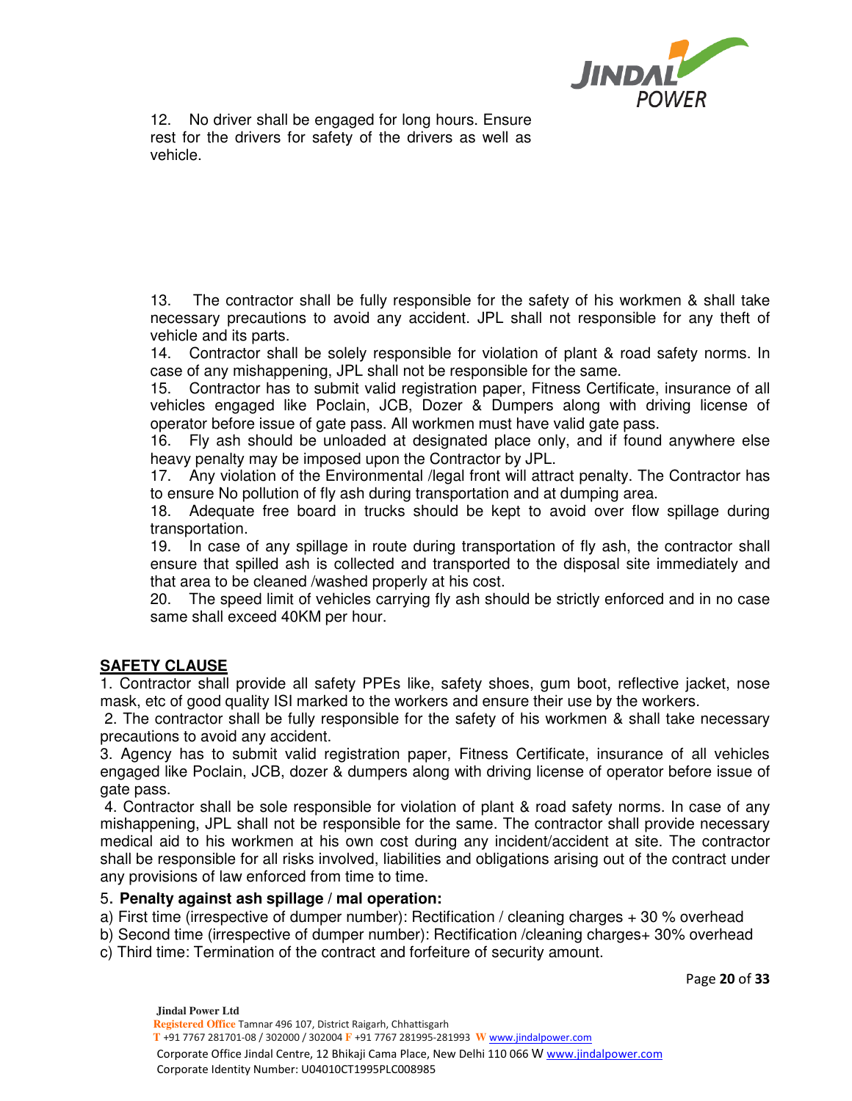

12. No driver shall be engaged for long hours. Ensure rest for the drivers for safety of the drivers as well as vehicle.

13. The contractor shall be fully responsible for the safety of his workmen & shall take necessary precautions to avoid any accident. JPL shall not responsible for any theft of vehicle and its parts.

14. Contractor shall be solely responsible for violation of plant & road safety norms. In case of any mishappening, JPL shall not be responsible for the same.

15. Contractor has to submit valid registration paper, Fitness Certificate, insurance of all vehicles engaged like Poclain, JCB, Dozer & Dumpers along with driving license of operator before issue of gate pass. All workmen must have valid gate pass.

16. Fly ash should be unloaded at designated place only, and if found anywhere else heavy penalty may be imposed upon the Contractor by JPL.

17. Any violation of the Environmental /legal front will attract penalty. The Contractor has to ensure No pollution of fly ash during transportation and at dumping area.

18. Adequate free board in trucks should be kept to avoid over flow spillage during transportation.

19. In case of any spillage in route during transportation of fly ash, the contractor shall ensure that spilled ash is collected and transported to the disposal site immediately and that area to be cleaned /washed properly at his cost.

20. The speed limit of vehicles carrying fly ash should be strictly enforced and in no case same shall exceed 40KM per hour.

## **SAFETY CLAUSE**

1. Contractor shall provide all safety PPEs like, safety shoes, gum boot, reflective jacket, nose mask, etc of good quality ISI marked to the workers and ensure their use by the workers.

 2. The contractor shall be fully responsible for the safety of his workmen & shall take necessary precautions to avoid any accident.

3. Agency has to submit valid registration paper, Fitness Certificate, insurance of all vehicles engaged like Poclain, JCB, dozer & dumpers along with driving license of operator before issue of gate pass.

 4. Contractor shall be sole responsible for violation of plant & road safety norms. In case of any mishappening, JPL shall not be responsible for the same. The contractor shall provide necessary medical aid to his workmen at his own cost during any incident/accident at site. The contractor shall be responsible for all risks involved, liabilities and obligations arising out of the contract under any provisions of law enforced from time to time.

## 5. **Penalty against ash spillage / mal operation:**

a) First time (irrespective of dumper number): Rectification / cleaning charges + 30 % overhead

b) Second time (irrespective of dumper number): Rectification /cleaning charges+ 30% overhead

c) Third time: Termination of the contract and forfeiture of security amount.

Page **20** of **33**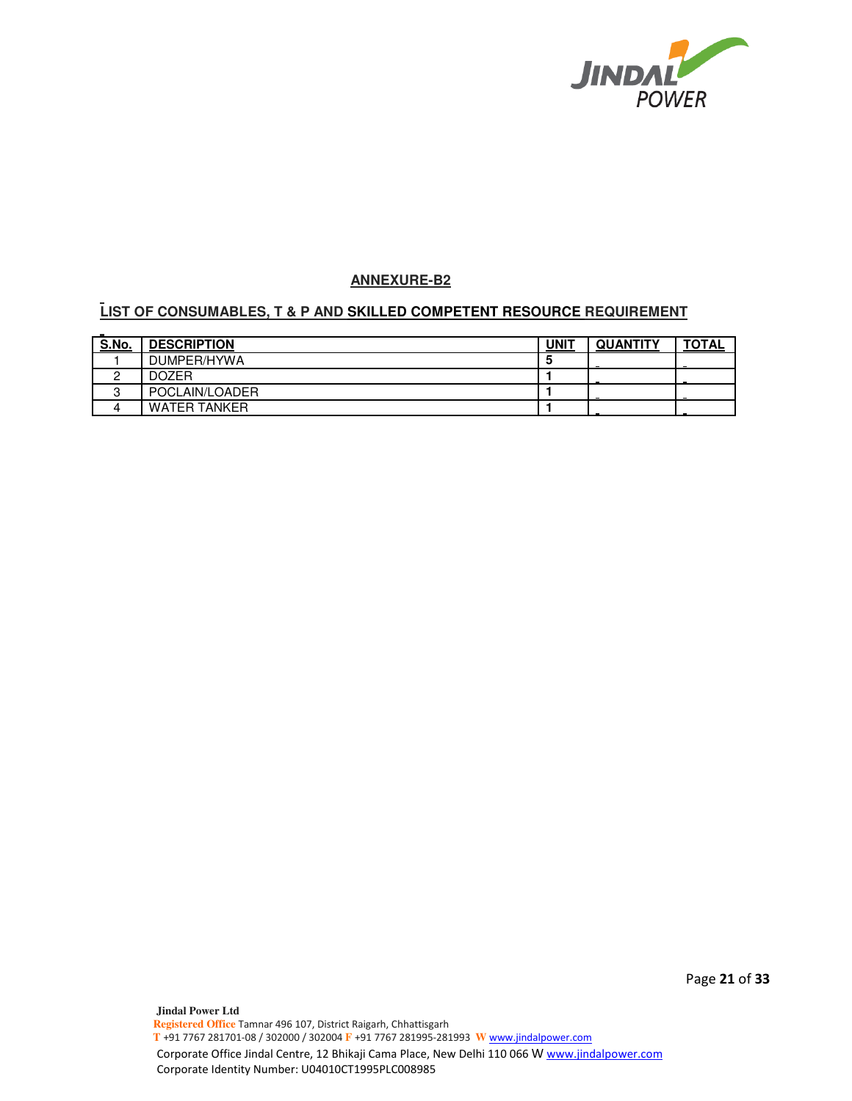

## **ANNEXURE-B2**

# **LIST OF CONSUMABLES, T & P AND SKILLED COMPETENT RESOURCE REQUIREMENT**

| S.No.  | <b>DESCRIPTION</b>  | UNIT | <b>QUANTITY</b> | <b>TOTAL</b> |
|--------|---------------------|------|-----------------|--------------|
|        | DUMPER/HYWA         |      |                 |              |
|        | <b>DOZER</b>        |      |                 |              |
| c<br>u | POCLAIN/LOADER      |      |                 |              |
| 4      | <b>WATER TANKER</b> |      |                 |              |

Page **21** of **33**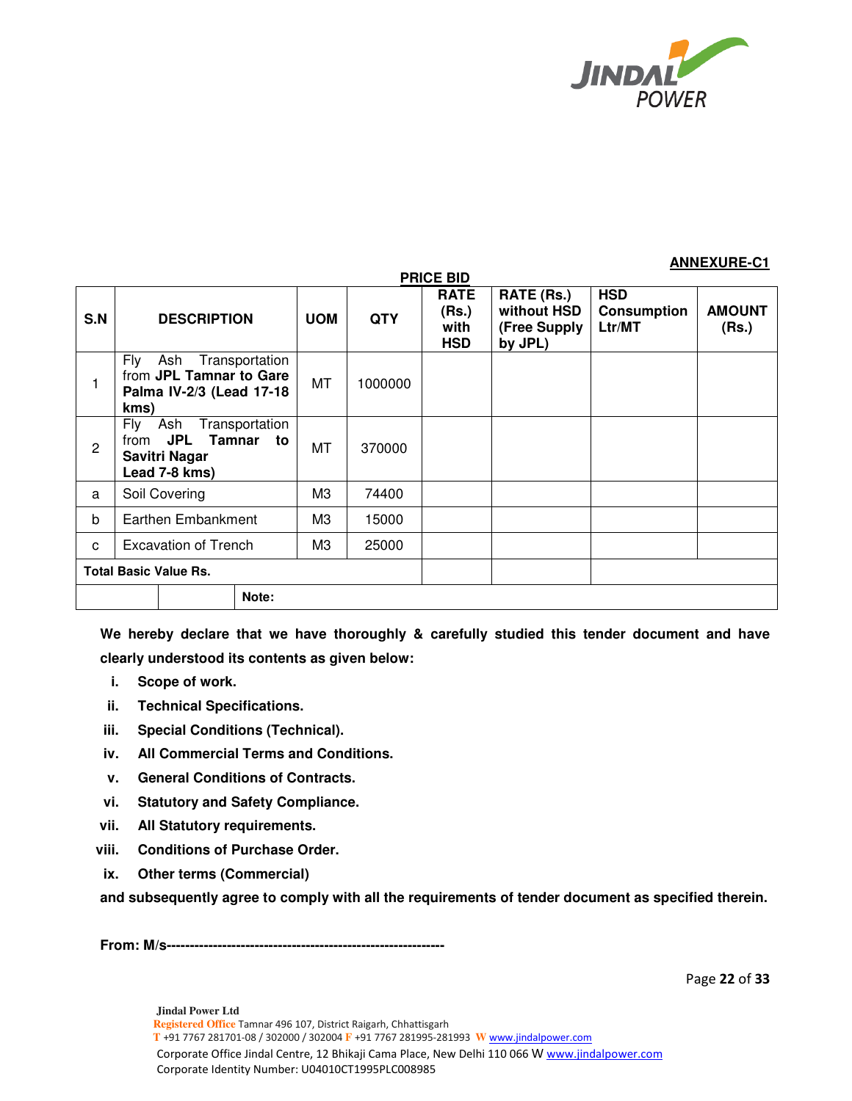

## **ANNEXURE-C1**

| S.N         | <b>DESCRIPTION</b>                                                                            |       | <b>UOM</b> | <b>QTY</b> | <b>RATE</b><br>(Rs.)<br>with<br><b>HSD</b> | RATE (Rs.)<br>without HSD<br>(Free Supply<br>by JPL) | <b>HSD</b><br><b>Consumption</b><br>Ltr/MT | <b>AMOUNT</b><br>(Rs.) |
|-------------|-----------------------------------------------------------------------------------------------|-------|------------|------------|--------------------------------------------|------------------------------------------------------|--------------------------------------------|------------------------|
|             | Fly<br>Transportation<br>Ash<br>from JPL Tamnar to Gare<br>Palma IV-2/3 (Lead 17-18<br>kms)   |       |            | 1000000    |                                            |                                                      |                                            |                        |
| 2           | Fly<br>Ash<br>Transportation<br>JPL<br>Tamnar<br>from<br>to<br>Savitri Nagar<br>Lead 7-8 kms) |       | МT         | 370000     |                                            |                                                      |                                            |                        |
| a           | Soil Covering                                                                                 |       | MЗ         | 74400      |                                            |                                                      |                                            |                        |
| $\mathbf b$ | Earthen Embankment                                                                            |       | M3         | 15000      |                                            |                                                      |                                            |                        |
| C           | <b>Excavation of Trench</b>                                                                   |       |            | 25000      |                                            |                                                      |                                            |                        |
|             | <b>Total Basic Value Rs.</b>                                                                  |       |            |            |                                            |                                                      |                                            |                        |
|             |                                                                                               | Note: |            |            |                                            |                                                      |                                            |                        |

**PRICE BID** 

**We hereby declare that we have thoroughly & carefully studied this tender document and have clearly understood its contents as given below:** 

- **i. Scope of work.**
- **ii. Technical Specifications.**
- **iii. Special Conditions (Technical).**
- **iv. All Commercial Terms and Conditions.**
- **v. General Conditions of Contracts.**
- **vi. Statutory and Safety Compliance.**
- **vii. All Statutory requirements.**
- **viii. Conditions of Purchase Order.**
- **ix. Other terms (Commercial)**

**and subsequently agree to comply with all the requirements of tender document as specified therein.** 

**From: M/s------------------------------------------------------------** 

Page **22** of **33**

**Jindal Power Ltd Registered Office** Tamnar 496 107, District Raigarh, Chhattisgarh  **T** +91 7767 281701-08 / 302000 / 302004 **F** +91 7767 281995-281993 **W** www.jindalpower.com Corporate Office Jindal Centre, 12 Bhikaji Cama Place, New Delhi 110 066 W www.jindalpower.com Corporate Identity Number: U04010CT1995PLC008985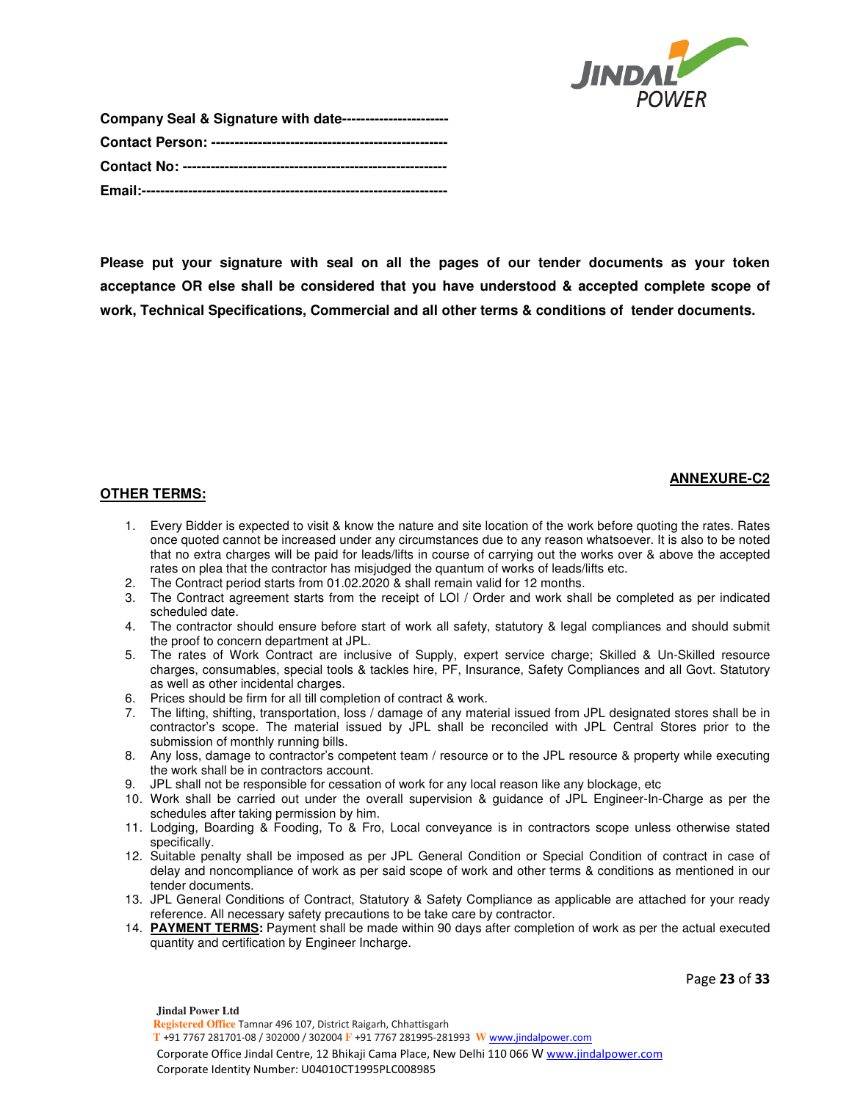

| Company Seal & Signature with date----------------------- |
|-----------------------------------------------------------|
|                                                           |
|                                                           |
|                                                           |

**Please put your signature with seal on all the pages of our tender documents as your token acceptance OR else shall be considered that you have understood & accepted complete scope of work, Technical Specifications, Commercial and all other terms & conditions of tender documents.** 

## **ANNEXURE-C2**

## **OTHER TERMS:**

- 1. Every Bidder is expected to visit & know the nature and site location of the work before quoting the rates. Rates once quoted cannot be increased under any circumstances due to any reason whatsoever. It is also to be noted that no extra charges will be paid for leads/lifts in course of carrying out the works over & above the accepted rates on plea that the contractor has misjudged the quantum of works of leads/lifts etc.
- 2. The Contract period starts from 01.02.2020 & shall remain valid for 12 months.
- 3. The Contract agreement starts from the receipt of LOI / Order and work shall be completed as per indicated scheduled date.
- 4. The contractor should ensure before start of work all safety, statutory & legal compliances and should submit the proof to concern department at JPL.
- 5. The rates of Work Contract are inclusive of Supply, expert service charge; Skilled & Un-Skilled resource charges, consumables, special tools & tackles hire, PF, Insurance, Safety Compliances and all Govt. Statutory as well as other incidental charges.
- 6. Prices should be firm for all till completion of contract & work.
- 7. The lifting, shifting, transportation, loss / damage of any material issued from JPL designated stores shall be in contractor's scope. The material issued by JPL shall be reconciled with JPL Central Stores prior to the submission of monthly running bills.
- 8. Any loss, damage to contractor's competent team / resource or to the JPL resource & property while executing the work shall be in contractors account.
- 9. JPL shall not be responsible for cessation of work for any local reason like any blockage, etc
- 10. Work shall be carried out under the overall supervision & guidance of JPL Engineer-In-Charge as per the schedules after taking permission by him.
- 11. Lodging, Boarding & Fooding, To & Fro, Local conveyance is in contractors scope unless otherwise stated specifically.
- 12. Suitable penalty shall be imposed as per JPL General Condition or Special Condition of contract in case of delay and noncompliance of work as per said scope of work and other terms & conditions as mentioned in our tender documents.
- 13. JPL General Conditions of Contract, Statutory & Safety Compliance as applicable are attached for your ready reference. All necessary safety precautions to be take care by contractor.
- 14. **PAYMENT TERMS:** Payment shall be made within 90 days after completion of work as per the actual executed quantity and certification by Engineer Incharge.

Page **23** of **33**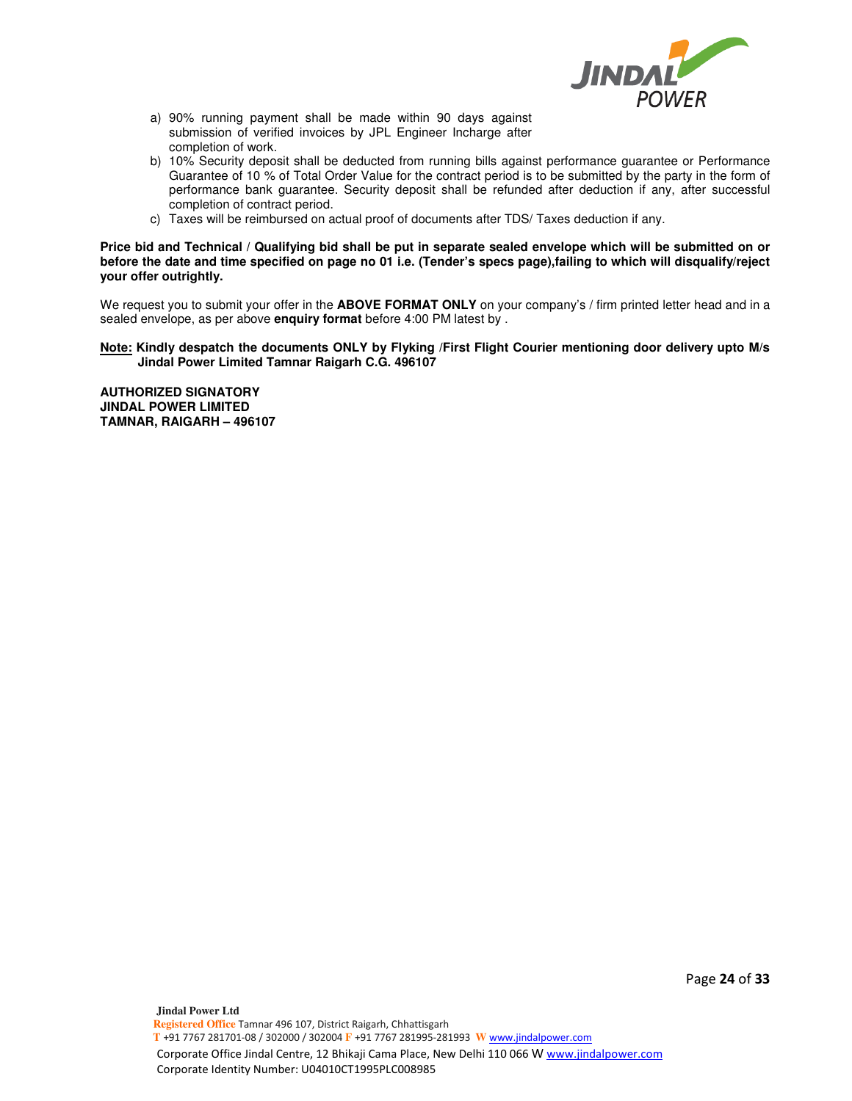

- a) 90% running payment shall be made within 90 days against submission of verified invoices by JPL Engineer Incharge after completion of work.
- b) 10% Security deposit shall be deducted from running bills against performance guarantee or Performance Guarantee of 10 % of Total Order Value for the contract period is to be submitted by the party in the form of performance bank guarantee. Security deposit shall be refunded after deduction if any, after successful completion of contract period.
- c) Taxes will be reimbursed on actual proof of documents after TDS/ Taxes deduction if any.

**Price bid and Technical / Qualifying bid shall be put in separate sealed envelope which will be submitted on or before the date and time specified on page no 01 i.e. (Tender's specs page),failing to which will disqualify/reject your offer outrightly.** 

We request you to submit your offer in the **ABOVE FORMAT ONLY** on your company's / firm printed letter head and in a sealed envelope, as per above **enquiry format** before 4:00 PM latest by .

### **Note: Kindly despatch the documents ONLY by Flyking /First Flight Courier mentioning door delivery upto M/s Jindal Power Limited Tamnar Raigarh C.G. 496107**

**AUTHORIZED SIGNATORY JINDAL POWER LIMITED TAMNAR, RAIGARH – 496107**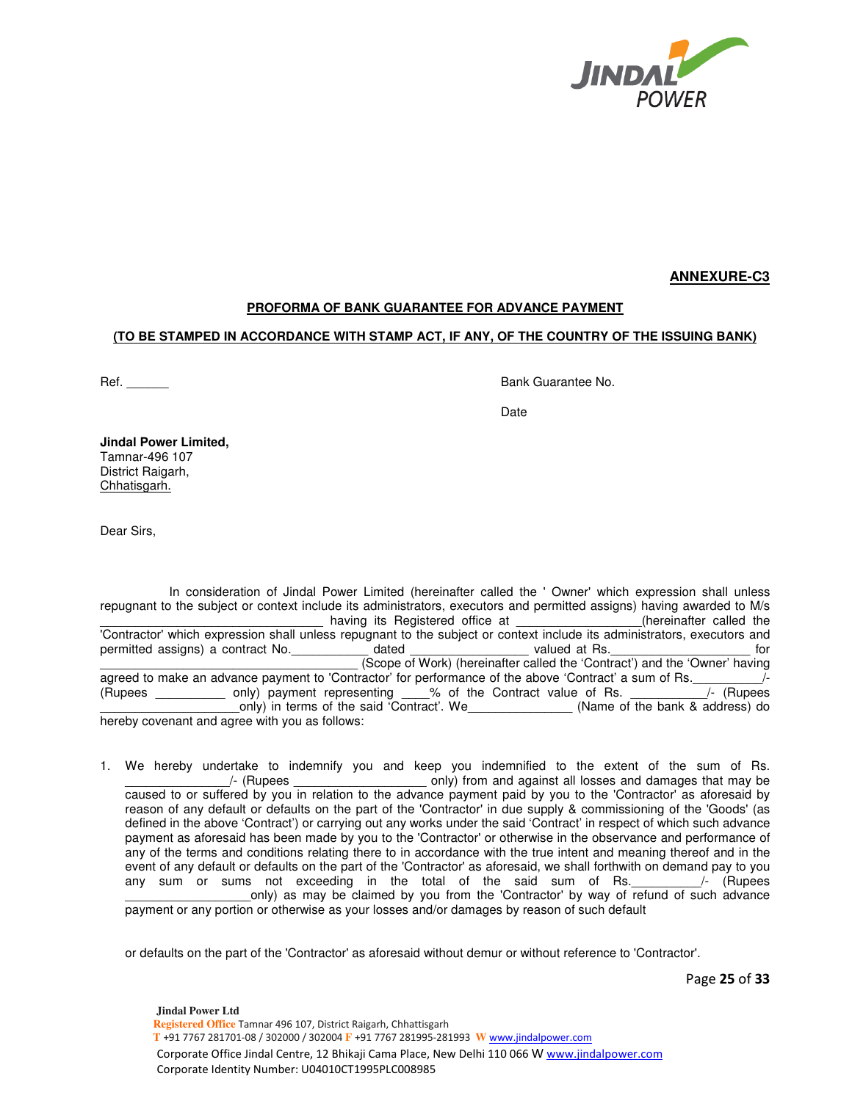

**ANNEXURE-C3**

## **PROFORMA OF BANK GUARANTEE FOR ADVANCE PAYMENT**

## **(TO BE STAMPED IN ACCORDANCE WITH STAMP ACT, IF ANY, OF THE COUNTRY OF THE ISSUING BANK)**

Ref. **Ref. Ref. Ref. Ref. Ref. Ref. Ref. Ref. Ref. Ref. Ref. Ref. Ref. Ref. Ref. Ref. Ref. Ref. Ref. Ref. Ref. Ref. Ref. Ref. Ref. Ref. Ref. Ref. Ref. Ref. Ref.**

discussion of the contract of the contract of the contract of the contract of the contract of the contract of t

**Jindal Power Limited,**  Tamnar-496 107 District Raigarh, Chhatisgarh.

Dear Sirs,

 In consideration of Jindal Power Limited (hereinafter called the ' Owner' which expression shall unless repugnant to the subject or context include its administrators, executors and permitted assigns) having awarded to M/s \_\_\_\_\_\_\_\_\_\_\_\_\_\_\_\_\_\_\_\_\_\_\_\_\_\_\_\_\_\_\_\_ having its Registered office at \_\_\_\_\_\_\_\_\_\_\_\_\_\_\_\_\_\_(hereinafter called the 'Contractor' which expression shall unless repugnant to the subject or context include its administrators, executors and permitted assigns) a contract No.  $\qquad \qquad$  dated  $\qquad \qquad$  valued at Rs.  $\qquad \qquad$  for \_\_\_\_\_\_\_\_\_\_\_\_\_\_\_\_\_\_\_\_\_\_\_\_\_\_\_\_\_\_\_\_\_\_\_\_\_ (Scope of Work) (hereinafter called the 'Contract') and the 'Owner' having agreed to make an advance payment to 'Contractor' for performance of the above 'Contract' a sum of Rs.<br>(Rupees only) payment representing % of the Contract value of Rs. // (Rupees (Rupees only) payment representing  $\sim$  % of the Contract value of Rs. \_only) in terms of the said 'Contract'. We\_\_\_\_\_\_\_\_\_\_\_\_\_\_\_\_\_ (Name of the bank & address) do hereby covenant and agree with you as follows:

1. We hereby undertake to indemnify you and keep you indemnified to the extent of the sum of Rs. \_\_\_\_\_\_\_\_\_\_\_\_\_\_\_/- (Rupees \_\_\_\_\_\_\_\_\_\_\_\_\_\_\_\_\_\_\_ only) from and against all losses and damages that may be caused to or suffered by you in relation to the advance payment paid by you to the 'Contractor' as aforesaid by reason of any default or defaults on the part of the 'Contractor' in due supply & commissioning of the 'Goods' (as defined in the above 'Contract') or carrying out any works under the said 'Contract' in respect of which such advance payment as aforesaid has been made by you to the 'Contractor' or otherwise in the observance and performance of any of the terms and conditions relating there to in accordance with the true intent and meaning thereof and in the event of any default or defaults on the part of the 'Contractor' as aforesaid, we shall forthwith on demand pay to you any sum or sums not exceeding in the total of the said sum of Rs.  $\frac{1}{2}$  (Rupees only) as may be claimed by you from the 'Contractor' by way of refund of such advance payment or any portion or otherwise as your losses and/or damages by reason of such default

or defaults on the part of the 'Contractor' as aforesaid without demur or without reference to 'Contractor'.

Page **25** of **33**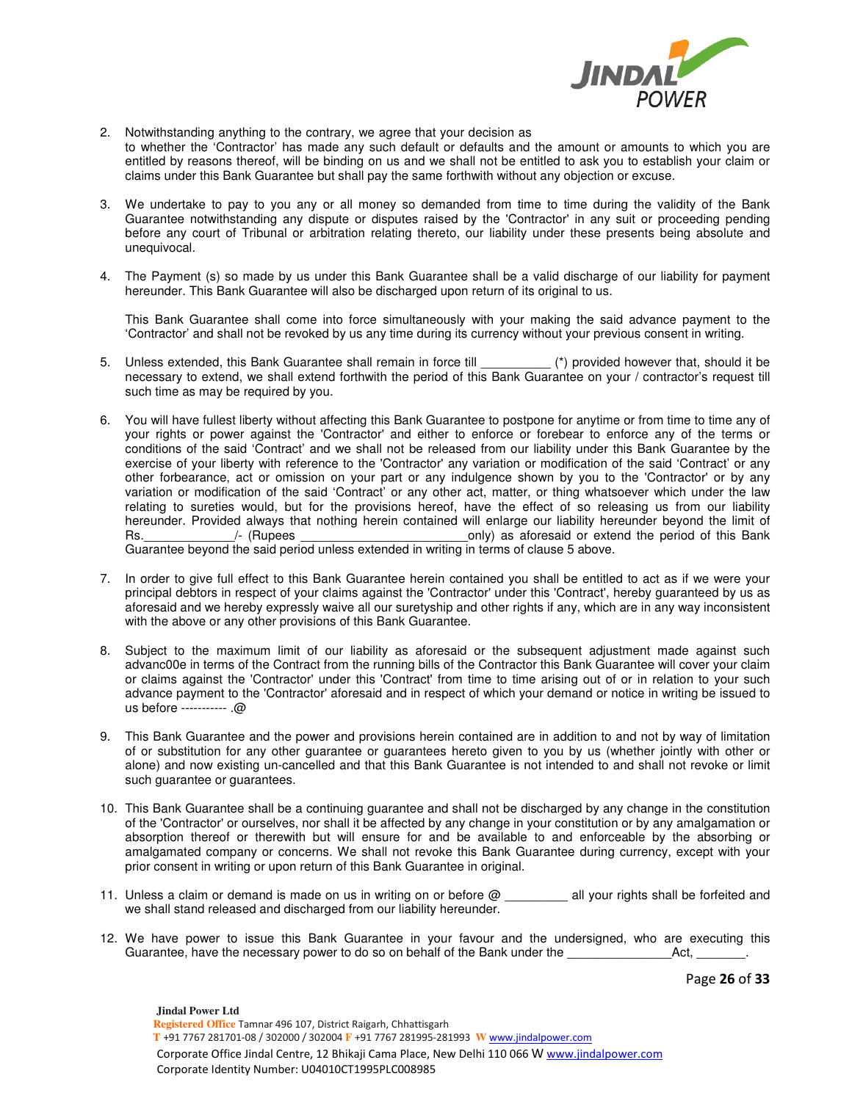

- 2. Notwithstanding anything to the contrary, we agree that your decision as to whether the 'Contractor' has made any such default or defaults and the amount or amounts to which you are entitled by reasons thereof, will be binding on us and we shall not be entitled to ask you to establish your claim or claims under this Bank Guarantee but shall pay the same forthwith without any objection or excuse.
- 3. We undertake to pay to you any or all money so demanded from time to time during the validity of the Bank Guarantee notwithstanding any dispute or disputes raised by the 'Contractor' in any suit or proceeding pending before any court of Tribunal or arbitration relating thereto, our liability under these presents being absolute and unequivocal.
- 4. The Payment (s) so made by us under this Bank Guarantee shall be a valid discharge of our liability for payment hereunder. This Bank Guarantee will also be discharged upon return of its original to us.

This Bank Guarantee shall come into force simultaneously with your making the said advance payment to the 'Contractor' and shall not be revoked by us any time during its currency without your previous consent in writing.

- 5. Unless extended, this Bank Guarantee shall remain in force till \_\_\_\_\_\_\_\_\_\_ (\*) provided however that, should it be necessary to extend, we shall extend forthwith the period of this Bank Guarantee on your / contractor's request till such time as may be required by you.
- 6. You will have fullest liberty without affecting this Bank Guarantee to postpone for anytime or from time to time any of your rights or power against the 'Contractor' and either to enforce or forebear to enforce any of the terms or conditions of the said 'Contract' and we shall not be released from our liability under this Bank Guarantee by the exercise of your liberty with reference to the 'Contractor' any variation or modification of the said 'Contract' or any other forbearance, act or omission on your part or any indulgence shown by you to the 'Contractor' or by any variation or modification of the said 'Contract' or any other act, matter, or thing whatsoever which under the law relating to sureties would, but for the provisions hereof, have the effect of so releasing us from our liability hereunder. Provided always that nothing herein contained will enlarge our liability hereunder beyond the limit of Rs. The Rupees and the state of this Bank and the period of this Bank and the period of this Bank Guarantee beyond the said period unless extended in writing in terms of clause 5 above.
- 7. In order to give full effect to this Bank Guarantee herein contained you shall be entitled to act as if we were your principal debtors in respect of your claims against the 'Contractor' under this 'Contract', hereby guaranteed by us as aforesaid and we hereby expressly waive all our suretyship and other rights if any, which are in any way inconsistent with the above or any other provisions of this Bank Guarantee.
- 8. Subject to the maximum limit of our liability as aforesaid or the subsequent adjustment made against such advanc00e in terms of the Contract from the running bills of the Contractor this Bank Guarantee will cover your claim or claims against the 'Contractor' under this 'Contract' from time to time arising out of or in relation to your such advance payment to the 'Contractor' aforesaid and in respect of which your demand or notice in writing be issued to us before ----------- .@
- 9. This Bank Guarantee and the power and provisions herein contained are in addition to and not by way of limitation of or substitution for any other guarantee or guarantees hereto given to you by us (whether jointly with other or alone) and now existing un-cancelled and that this Bank Guarantee is not intended to and shall not revoke or limit such guarantee or guarantees.
- 10. This Bank Guarantee shall be a continuing guarantee and shall not be discharged by any change in the constitution of the 'Contractor' or ourselves, nor shall it be affected by any change in your constitution or by any amalgamation or absorption thereof or therewith but will ensure for and be available to and enforceable by the absorbing or amalgamated company or concerns. We shall not revoke this Bank Guarantee during currency, except with your prior consent in writing or upon return of this Bank Guarantee in original.
- 11. Unless a claim or demand is made on us in writing on or before @ all your rights shall be forfeited and we shall stand released and discharged from our liability hereunder.
- 12. We have power to issue this Bank Guarantee in your favour and the undersigned, who are executing this Guarantee, have the necessary power to do so on behalf of the Bank under the \_\_\_\_\_\_\_\_\_\_\_\_\_\_\_\_\_\_\_\_\_\_\_\_\_\_.

Page **26** of **33**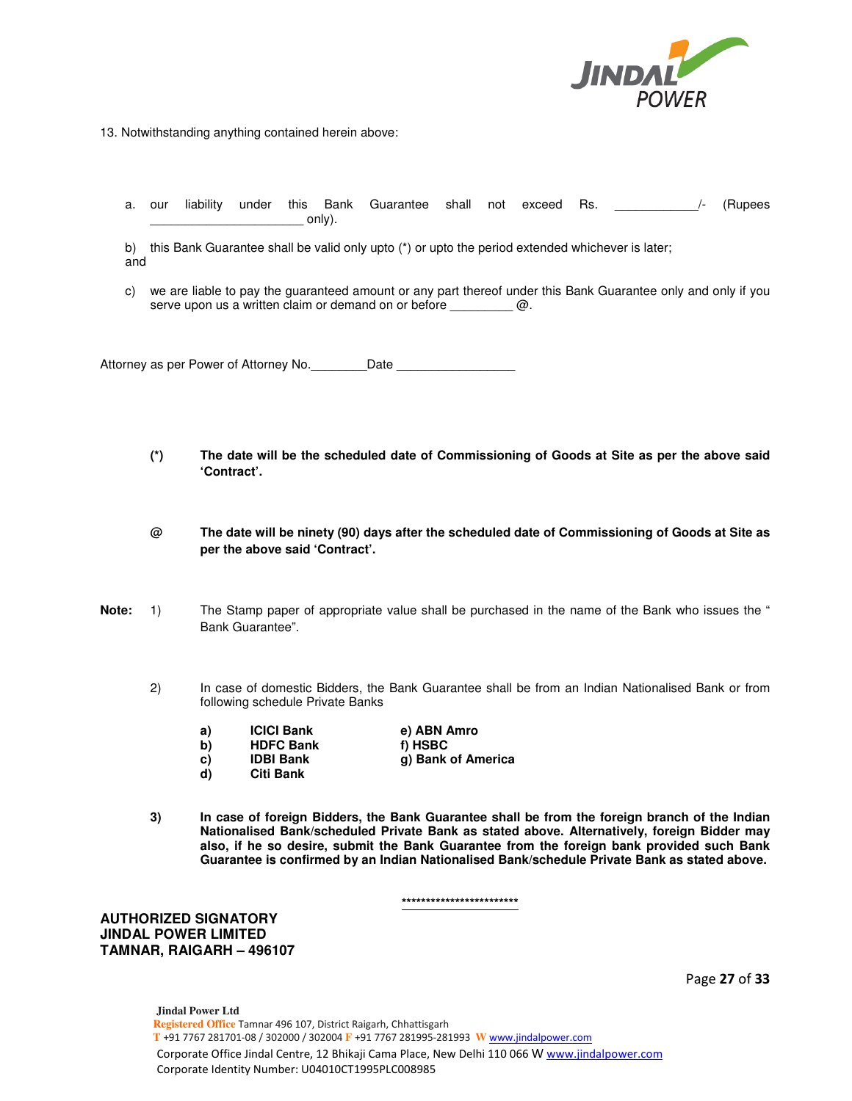

13. Notwithstanding anything contained herein above:

a. our liability under this Bank Guarantee shall not exceed Rs.  $\frac{1}{2}$  (Rupees  $\circ$ nly).

b) this Bank Guarantee shall be valid only upto (\*) or upto the period extended whichever is later; and

c) we are liable to pay the guaranteed amount or any part thereof under this Bank Guarantee only and only if you serve upon us a written claim or demand on or before \_\_\_\_\_\_\_\_\_ @.

Attorney as per Power of Attorney No. \_\_\_\_\_\_\_\_\_Date \_\_\_\_\_

- **(\*) The date will be the scheduled date of Commissioning of Goods at Site as per the above said 'Contract'.**
- **@ The date will be ninety (90) days after the scheduled date of Commissioning of Goods at Site as per the above said 'Contract'.**
- **Note:** 1) The Stamp paper of appropriate value shall be purchased in the name of the Bank who issues the " Bank Guarantee".
	- 2) In case of domestic Bidders, the Bank Guarantee shall be from an Indian Nationalised Bank or from following schedule Private Banks
		- **a) ICICI Bank e) ABN Amro**
		- **b) HDFC Bank f) HSBC**
		- **d) Citi Bank**

**c) IDBI Bank g) Bank of America** 

**3) In case of foreign Bidders, the Bank Guarantee shall be from the foreign branch of the Indian Nationalised Bank/scheduled Private Bank as stated above. Alternatively, foreign Bidder may also, if he so desire, submit the Bank Guarantee from the foreign bank provided such Bank Guarantee is confirmed by an Indian Nationalised Bank/schedule Private Bank as stated above.** 

**\*\*\*\*\*\*\*\*\*\*\*\*\*\*\*\*\*\*\*\*\*\*\*\*** 

**AUTHORIZED SIGNATORY JINDAL POWER LIMITED TAMNAR, RAIGARH – 496107** 

Page **27** of **33**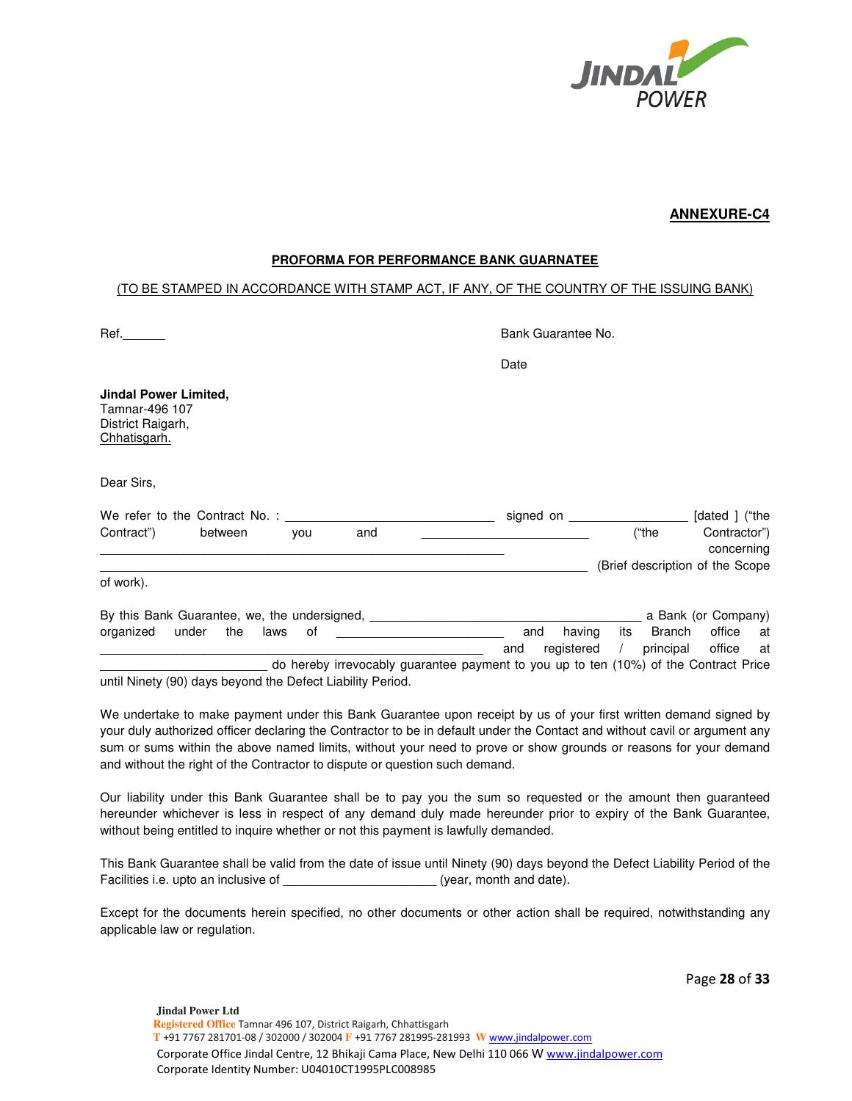

## **ANNEXURE-C4**

### **PROFORMA FOR PERFORMANCE BANK GUARNATEE**

## (TO BE STAMPED IN ACCORDANCE WITH STAMP ACT, IF ANY, OF THE COUNTRY OF THE ISSUING BANK)

| Ref.                                                                                 | Bank Guarantee No. |                                                                             |
|--------------------------------------------------------------------------------------|--------------------|-----------------------------------------------------------------------------|
|                                                                                      | Date               |                                                                             |
| <b>Jindal Power Limited,</b><br>Tamnar-496 107<br>District Raigarh,<br>Chhatisgarh.  |                    |                                                                             |
| Dear Sirs,                                                                           |                    |                                                                             |
|                                                                                      |                    | signed on __________________ [dated ] ("the                                 |
| and<br>Contract") between<br>you                                                     |                    | ("the<br>Contractor")<br>concerning                                         |
|                                                                                      |                    | (Brief description of the Scope                                             |
| of work).                                                                            |                    |                                                                             |
| By this Bank Guarantee, we, the undersigned, ___________________________________     |                    | a Bank (or Company)                                                         |
| organized under the laws<br>of                                                       | and<br>and         | its Branch<br>office at<br>having<br>registered / principal<br>office<br>at |
| do hereby irrevocably guarantee payment to you up to ten (10%) of the Contract Price |                    |                                                                             |
| until Ninety (90) days beyond the Defect Liability Period.                           |                    |                                                                             |

We undertake to make payment under this Bank Guarantee upon receipt by us of your first written demand signed by your duly authorized officer declaring the Contractor to be in default under the Contact and without cavil or argument any sum or sums within the above named limits, without your need to prove or show grounds or reasons for your demand and without the right of the Contractor to dispute or question such demand.

Our liability under this Bank Guarantee shall be to pay you the sum so requested or the amount then guaranteed hereunder whichever is less in respect of any demand duly made hereunder prior to expiry of the Bank Guarantee, without being entitled to inquire whether or not this payment is lawfully demanded.

This Bank Guarantee shall be valid from the date of issue until Ninety (90) days beyond the Defect Liability Period of the Facilities i.e. upto an inclusive of \_\_\_\_\_\_\_\_\_\_\_\_\_\_\_\_\_\_\_\_\_\_\_\_(year, month and date).

Except for the documents herein specified, no other documents or other action shall be required, notwithstanding any applicable law or regulation.

Page **28** of **33**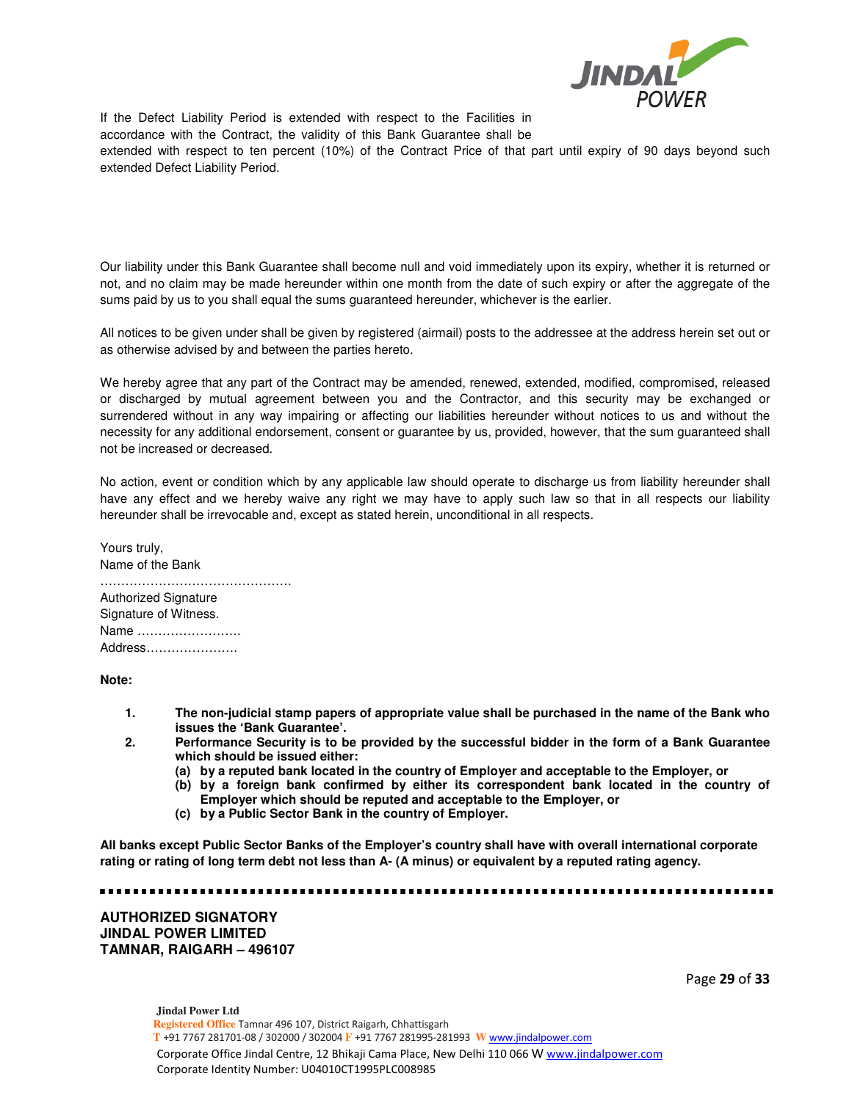

If the Defect Liability Period is extended with respect to the Facilities in accordance with the Contract, the validity of this Bank Guarantee shall be extended with respect to ten percent (10%) of the Contract Price of that part until expiry of 90 days beyond such extended Defect Liability Period.

Our liability under this Bank Guarantee shall become null and void immediately upon its expiry, whether it is returned or not, and no claim may be made hereunder within one month from the date of such expiry or after the aggregate of the sums paid by us to you shall equal the sums guaranteed hereunder, whichever is the earlier.

All notices to be given under shall be given by registered (airmail) posts to the addressee at the address herein set out or as otherwise advised by and between the parties hereto.

We hereby agree that any part of the Contract may be amended, renewed, extended, modified, compromised, released or discharged by mutual agreement between you and the Contractor, and this security may be exchanged or surrendered without in any way impairing or affecting our liabilities hereunder without notices to us and without the necessity for any additional endorsement, consent or guarantee by us, provided, however, that the sum guaranteed shall not be increased or decreased.

No action, event or condition which by any applicable law should operate to discharge us from liability hereunder shall have any effect and we hereby waive any right we may have to apply such law so that in all respects our liability hereunder shall be irrevocable and, except as stated herein, unconditional in all respects.

Yours truly, Name of the Bank ………………………………………. Authorized Signature Signature of Witness. Name ……………………. Address………………….

**Note:** 

- **1. The non-judicial stamp papers of appropriate value shall be purchased in the name of the Bank who issues the 'Bank Guarantee'.**
- **2. Performance Security is to be provided by the successful bidder in the form of a Bank Guarantee which should be issued either:** 
	- **(a) by a reputed bank located in the country of Employer and acceptable to the Employer, or**
	- **(b) by a foreign bank confirmed by either its correspondent bank located in the country of Employer which should be reputed and acceptable to the Employer, or**
	- **(c) by a Public Sector Bank in the country of Employer.**

**All banks except Public Sector Banks of the Employer's country shall have with overall international corporate rating or rating of long term debt not less than A- (A minus) or equivalent by a reputed rating agency.** 

**AUTHORIZED SIGNATORY JINDAL POWER LIMITED TAMNAR, RAIGARH – 496107** 

-----------------------------------

Page **29** of **33**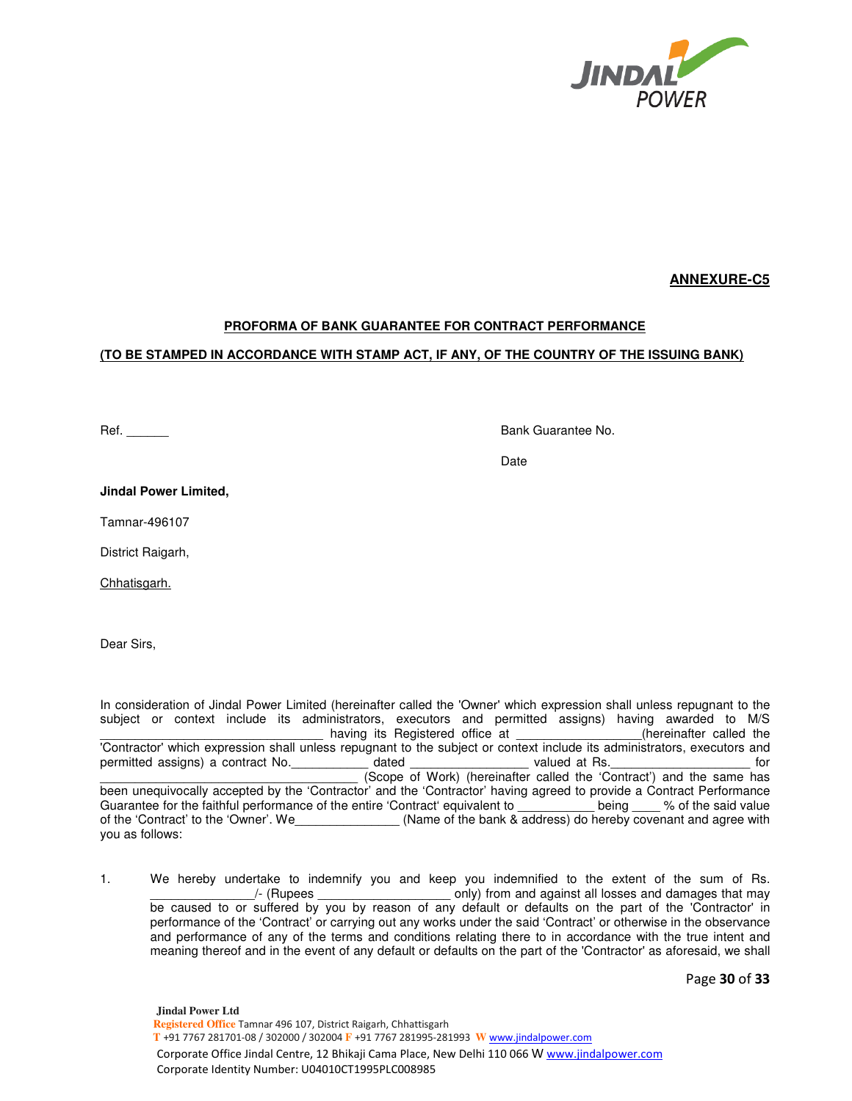

## **ANNEXURE-C5**

## **PROFORMA OF BANK GUARANTEE FOR CONTRACT PERFORMANCE**

### **(TO BE STAMPED IN ACCORDANCE WITH STAMP ACT, IF ANY, OF THE COUNTRY OF THE ISSUING BANK)**

Ref. **Ref. Ref. Ref. Ref. Ref. Ref. Ref. Ref. Ref. Ref. Ref. Ref. Ref. Ref. Ref. Ref. Ref. Ref. Ref. Ref. Ref. Ref. Ref. Ref. Ref. Ref. Ref. Ref. Ref. Ref. Ref.**

discussion of the contract of the contract of the contract of the contract of the contract of the contract of t

**Jindal Power Limited,** 

Tamnar-496107

District Raigarh,

Chhatisgarh.

Dear Sirs,

In consideration of Jindal Power Limited (hereinafter called the 'Owner' which expression shall unless repugnant to the subject or context include its administrators, executors and permitted assigns) having awarded to M/S \_\_\_\_\_\_\_\_\_\_\_\_\_\_\_\_\_\_\_\_\_\_\_\_\_\_\_\_\_\_\_\_ having its Registered office at \_\_\_\_\_\_\_\_\_\_\_\_\_\_\_\_\_\_(hereinafter called the 'Contractor' which expression shall unless repugnant to the subject or context include its administrators, executors and permitted assigns) a contract No.  $\qquad \qquad$  dated  $\qquad \qquad$  valued at Rs.  $\qquad \qquad$  for \_\_\_\_\_\_\_\_\_\_\_\_\_\_\_\_\_\_\_\_\_\_\_\_\_\_\_\_\_\_\_\_\_\_\_\_\_ (Scope of Work) (hereinafter called the 'Contract') and the same has been unequivocally accepted by the 'Contractor' and the 'Contractor' having agreed to provide a Contract Performance Guarantee for the faithful performance of the entire 'Contract' equivalent to \_\_\_\_\_\_\_\_\_\_\_ being \_\_\_\_ % of the said value of the 'Contract' to the 'Owner'. We\_\_\_\_\_\_\_\_\_\_\_\_\_\_\_ (Name of the bank & address) do hereby covenant and agree with you as follows:

1. We hereby undertake to indemnify you and keep you indemnified to the extent of the sum of Rs. Let a CRUPEN CRUPERS CONDUCT A GRUPP (CRUPER STATE) (Ruples and damages that may be caused to or suffered by you by reason of any default or defaults on the part of the 'Contractor' in performance of the 'Contract' or carrying out any works under the said 'Contract' or otherwise in the observance and performance of any of the terms and conditions relating there to in accordance with the true intent and meaning thereof and in the event of any default or defaults on the part of the 'Contractor' as aforesaid, we shall

Page **30** of **33**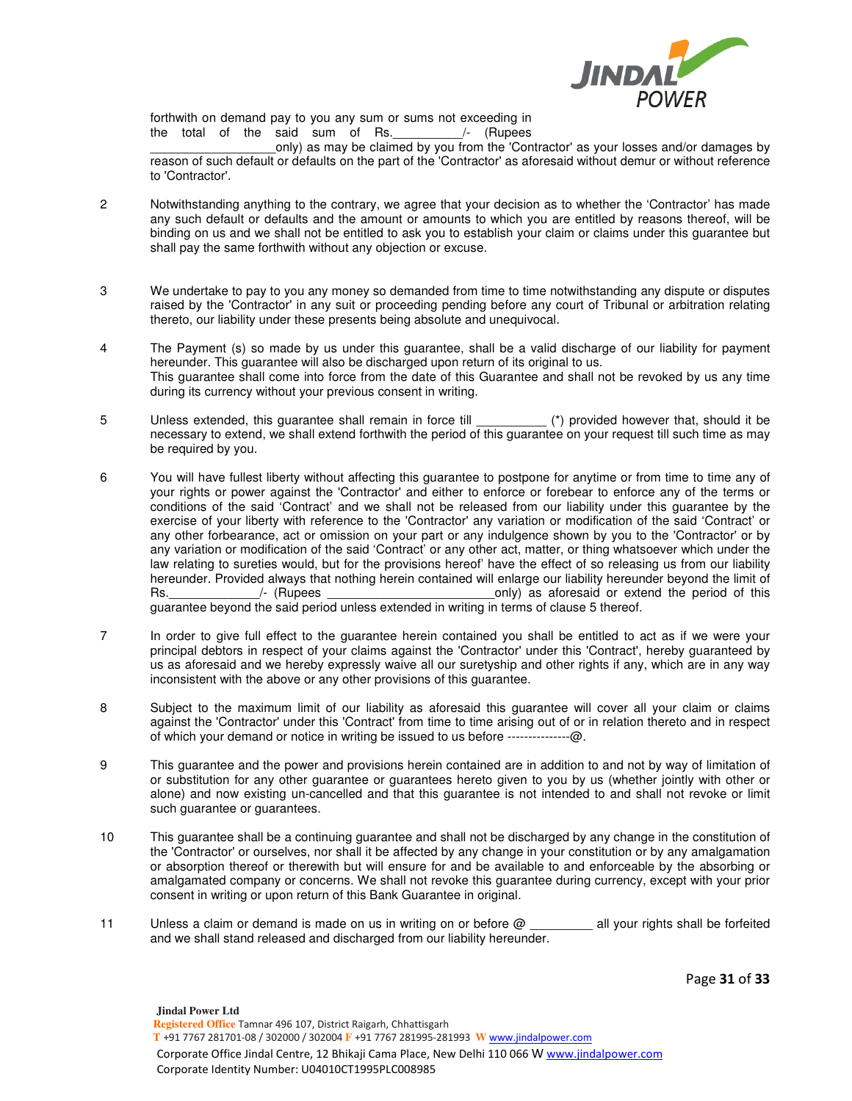

forthwith on demand pay to you any sum or sums not exceeding in the total of the said sum of Rs. \_\_\_\_\_\_\_\_\_/- (Rupees

only) as may be claimed by you from the 'Contractor' as your losses and/or damages by reason of such default or defaults on the part of the 'Contractor' as aforesaid without demur or without reference to 'Contractor'.

- 2 Notwithstanding anything to the contrary, we agree that your decision as to whether the 'Contractor' has made any such default or defaults and the amount or amounts to which you are entitled by reasons thereof, will be binding on us and we shall not be entitled to ask you to establish your claim or claims under this guarantee but shall pay the same forthwith without any objection or excuse.
- 3 We undertake to pay to you any money so demanded from time to time notwithstanding any dispute or disputes raised by the 'Contractor' in any suit or proceeding pending before any court of Tribunal or arbitration relating thereto, our liability under these presents being absolute and unequivocal.
- 4 The Payment (s) so made by us under this guarantee, shall be a valid discharge of our liability for payment hereunder. This guarantee will also be discharged upon return of its original to us. This guarantee shall come into force from the date of this Guarantee and shall not be revoked by us any time during its currency without your previous consent in writing.
- 5 Unless extended, this guarantee shall remain in force till \_\_\_\_\_\_\_\_\_\_ (\*) provided however that, should it be necessary to extend, we shall extend forthwith the period of this guarantee on your request till such time as may be required by you.
- 6 You will have fullest liberty without affecting this guarantee to postpone for anytime or from time to time any of your rights or power against the 'Contractor' and either to enforce or forebear to enforce any of the terms or conditions of the said 'Contract' and we shall not be released from our liability under this guarantee by the exercise of your liberty with reference to the 'Contractor' any variation or modification of the said 'Contract' or any other forbearance, act or omission on your part or any indulgence shown by you to the 'Contractor' or by any variation or modification of the said 'Contract' or any other act, matter, or thing whatsoever which under the law relating to sureties would, but for the provisions hereof' have the effect of so releasing us from our liability hereunder. Provided always that nothing herein contained will enlarge our liability hereunder beyond the limit of Rs. The Rupees and the settlement of this control of this control of this control of this control of this control of this control of this control of this control of this control of this control of this control of this cont guarantee beyond the said period unless extended in writing in terms of clause 5 thereof.
- 7 In order to give full effect to the guarantee herein contained you shall be entitled to act as if we were your principal debtors in respect of your claims against the 'Contractor' under this 'Contract', hereby guaranteed by us as aforesaid and we hereby expressly waive all our suretyship and other rights if any, which are in any way inconsistent with the above or any other provisions of this guarantee.
- 8 Subject to the maximum limit of our liability as aforesaid this guarantee will cover all your claim or claims against the 'Contractor' under this 'Contract' from time to time arising out of or in relation thereto and in respect of which your demand or notice in writing be issued to us before ---------------@.
- 9 This guarantee and the power and provisions herein contained are in addition to and not by way of limitation of or substitution for any other guarantee or guarantees hereto given to you by us (whether jointly with other or alone) and now existing un-cancelled and that this guarantee is not intended to and shall not revoke or limit such guarantee or guarantees.
- 10 This guarantee shall be a continuing guarantee and shall not be discharged by any change in the constitution of the 'Contractor' or ourselves, nor shall it be affected by any change in your constitution or by any amalgamation or absorption thereof or therewith but will ensure for and be available to and enforceable by the absorbing or amalgamated company or concerns. We shall not revoke this guarantee during currency, except with your prior consent in writing or upon return of this Bank Guarantee in original.
- 11 Unless a claim or demand is made on us in writing on or before @ \_\_\_\_\_\_\_\_ all your rights shall be forfeited and we shall stand released and discharged from our liability hereunder.

Page **31** of **33**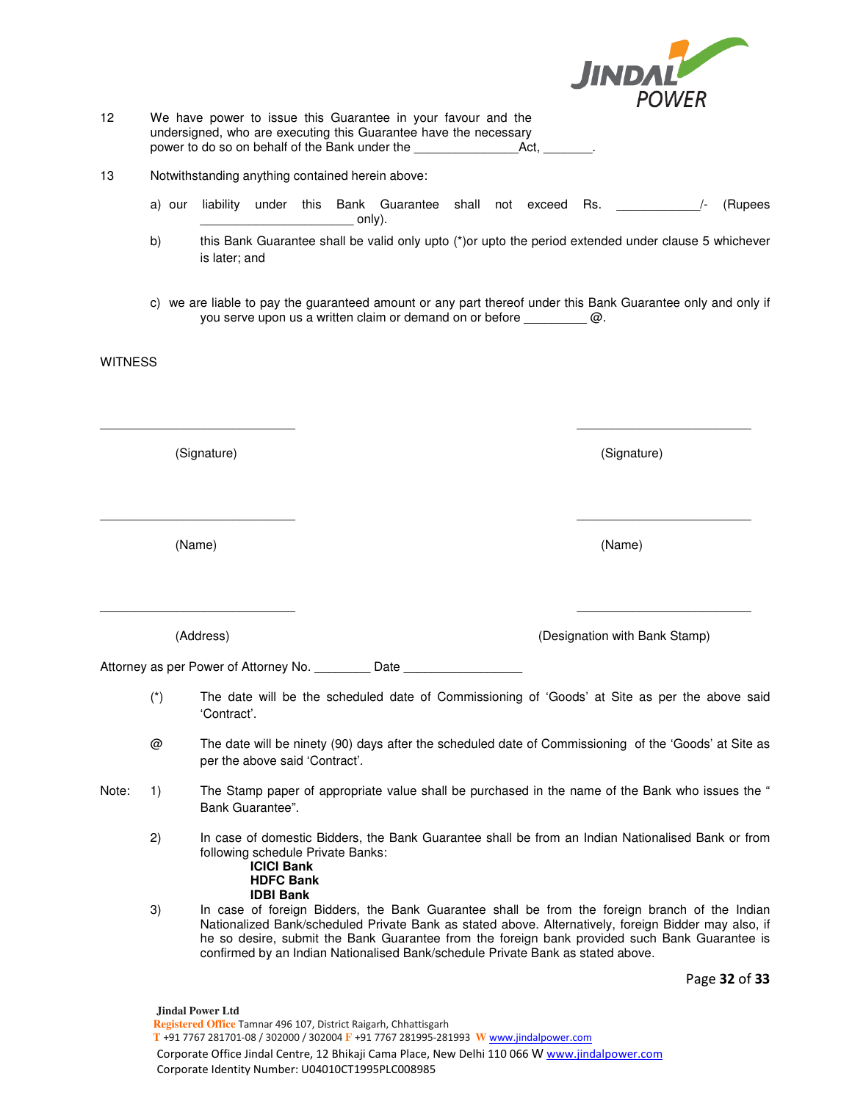|                |                       |                                                                                                                                                                                                                                                                                                                                                                                           |        |  | JINDAL                        |               |
|----------------|-----------------------|-------------------------------------------------------------------------------------------------------------------------------------------------------------------------------------------------------------------------------------------------------------------------------------------------------------------------------------------------------------------------------------------|--------|--|-------------------------------|---------------|
|                |                       |                                                                                                                                                                                                                                                                                                                                                                                           |        |  | <b>POWER</b>                  |               |
| 12             |                       | We have power to issue this Guarantee in your favour and the<br>undersigned, who are executing this Guarantee have the necessary<br>power to do so on behalf of the Bank under the __________________________________.                                                                                                                                                                    |        |  |                               |               |
| 13             |                       | Notwithstanding anything contained herein above:                                                                                                                                                                                                                                                                                                                                          |        |  |                               |               |
|                | a) our                | liability under this Bank Guarantee shall not exceed Rs.                                                                                                                                                                                                                                                                                                                                  | only). |  |                               | (Rupees       |
|                | b)                    | this Bank Guarantee shall be valid only upto (*) or upto the period extended under clause 5 whichever<br>is later; and                                                                                                                                                                                                                                                                    |        |  |                               |               |
|                |                       | c) we are liable to pay the guaranteed amount or any part thereof under this Bank Guarantee only and only if<br>you serve upon us a written claim or demand on or before $\omega$ .                                                                                                                                                                                                       |        |  |                               |               |
| <b>WITNESS</b> |                       |                                                                                                                                                                                                                                                                                                                                                                                           |        |  |                               |               |
|                |                       |                                                                                                                                                                                                                                                                                                                                                                                           |        |  |                               |               |
|                |                       | (Signature)                                                                                                                                                                                                                                                                                                                                                                               |        |  | (Signature)                   |               |
|                |                       | (Name)                                                                                                                                                                                                                                                                                                                                                                                    |        |  | (Name)                        |               |
|                |                       |                                                                                                                                                                                                                                                                                                                                                                                           |        |  |                               |               |
|                |                       | (Address)                                                                                                                                                                                                                                                                                                                                                                                 |        |  | (Designation with Bank Stamp) |               |
|                |                       | Attorney as per Power of Attorney No. _________ Date _                                                                                                                                                                                                                                                                                                                                    |        |  |                               |               |
|                | $(\dot{\phantom{a}})$ | The date will be the scheduled date of Commissioning of 'Goods' at Site as per the above said<br>'Contract'.                                                                                                                                                                                                                                                                              |        |  |                               |               |
|                | @                     | The date will be ninety (90) days after the scheduled date of Commissioning of the 'Goods' at Site as<br>per the above said 'Contract'.                                                                                                                                                                                                                                                   |        |  |                               |               |
| Note:          | 1)                    | The Stamp paper of appropriate value shall be purchased in the name of the Bank who issues the "<br>Bank Guarantee".                                                                                                                                                                                                                                                                      |        |  |                               |               |
|                | 2)                    | In case of domestic Bidders, the Bank Guarantee shall be from an Indian Nationalised Bank or from<br>following schedule Private Banks:<br><b>ICICI Bank</b><br><b>HDFC Bank</b><br><b>IDBI Bank</b>                                                                                                                                                                                       |        |  |                               |               |
|                | 3)                    | In case of foreign Bidders, the Bank Guarantee shall be from the foreign branch of the Indian<br>Nationalized Bank/scheduled Private Bank as stated above. Alternatively, foreign Bidder may also, if<br>he so desire, submit the Bank Guarantee from the foreign bank provided such Bank Guarantee is<br>confirmed by an Indian Nationalised Bank/schedule Private Bank as stated above. |        |  |                               |               |
|                |                       |                                                                                                                                                                                                                                                                                                                                                                                           |        |  |                               | Page 32 of 33 |